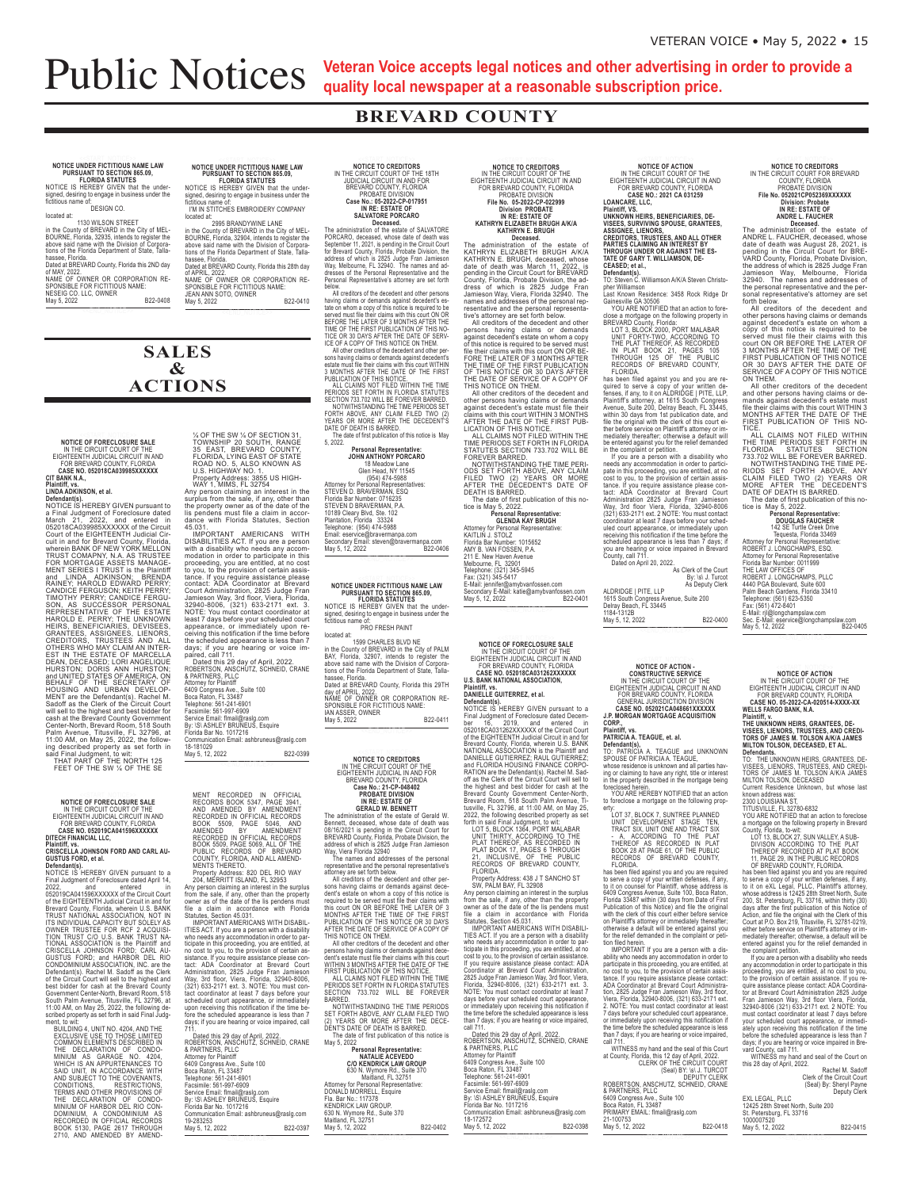## **Public Notices**

**SALES**  $\mathbf{\&}$ 

**ACTIONS** 

Veteran Voice accepts legal notices and other advertising in order to provide a quality local newspaper at a reasonable subscription price.

### **BREVARD COUNTY**

## NOTICE UNDER FICTITIOUS NAME LAW<br>PURSUANT TO SECTION 865.09,<br>FLORIDA STATUTES<br>NOTICE IS HEREBY GIVEN that the under-

signed, desiring to engage in business under the<br>fictitious name of:<br>DESIGN CO.

DESIGN CO.<br>
INCRET IN A MILLISON STREET<br>
in the County of BREVARD in the City of MEL-<br>
BOURNE, Florida, 32935, intends to register the<br>
above said name with the Division of Corpora-<br>
these of the Florida Department of Stat

uons or the Piorida Department of State, Talla-<br>
hassee, Florida.<br>
Dated at BREVARD County, Florida this 2ND day<br>
of MAY, 2022.<br>
NAME OF OWNER OR CORPORATION RE-<br>
NAME:<br>
SPONSIBLE FOR FICTITIOUS NAME:<br>
NESEIG CO. LLC, OWNE

NOTICE OF FORECLOSURE SALE IN THE CIRCUIT COURT OF THE<br>EIGHTEENTH JUDICIAL CIRCUIT IN AND<br>FOR BREVARD COUNTY, FLORIDA<br>CASE NO. 052018CA039985XXXXX<br>CIT BANK N.A.,

Plaintiff, vs.<br>LINDA ADKINSON, et al.

Crimation, Andre Mathematics, and the Detail of Particular Research Crimation Defendants.<br>
NOTICE IS HEREBY GIVEN pursuant to<br>
Defendants).<br>
NOTICE IS HEREBY GIVEN pursuant to<br>
March 21, 2022, and entered in<br>
Court of the

to wit:<br>ILDING 4, UNIT NO. 4204, AND THE

BUILDING 4, UNIT NO. 4204, AND THE<br>EXCLUSIVE USE TO THOSE LIMITED<br>COMMON ELEMENTS DESCRIBED IN<br>MINIUM AS GARAGE NO. 4204,<br>MINIUM AS GARAGE NO. 4204,<br>WINICH IS AN APPURTENANCE STO<br>SAID UNIT, IN ACCORDANCE WITH<br>CONDITIONS,<br>C

TERMS AND OTHER PROVISIONS OF<br>THE DECLARATION OF CONDO-<br>MINIUM OF HARBOR DEL RIO CON-<br>DOMINIUM, A CONDOMINIUM AS<br>RECORDED IN OFFICIAL RECORDS<br>BOOK 5130, PAGE 2617 THROUGH<br>2710, AND AMENDED BY AMEND-

NOTICE UNDER FICTITIOUS NAME LAW<br>PURSUANT TO SECTION 865.09,<br>FLORIDA STATUTES<br>NOTICE IS HEREBY GIVEN that the under-<br>signed, desiring to engage in business under the<br>fictitious name of:<br>IWIN STITCHES EMBROIDERY COMPANY<br>loc

Form of the COMP STANDYWINE LANE<br>
20095 BRANDYWINE LANE<br>
in the County of BREVARD in the City of MEL-<br>
BOURNE, Fiorida, 32904, intends to register the<br>
above said name with the Division of Corpora-<br>
tions of the Florida<br>
L

www.community.community.community.community.community.community.community.community.community.community.community.community.community.community.community.community.community.community.community.community.community.communit Databased Christian County, Fisher and Scarces<br>
MAME OF OWNER OR CORPORATION RESPONSIBLE FOR FICTITIOUS NAME:<br>
SPONSIBLE FOR FICTITIOUS NAME:<br>
JEAN ANN SOTO, OWNER<br>
May 5, 2022

% OF THE SW % OF SECTION 31,<br>TOWNSHIP 20 SOUTH, RANGE<br>35 EAST, BREVARD COUNTY, FLORIDA, LYING EAST OF STATE<br>ROAD NO. 5, ALSO KNOWN AS<br>ROAD NO. 5, ALSO KNOWN AS<br>US. HIGHWAY NO. 1.<br>Property Address: 3855 US HIGH-WAY 1, MIMS

& PARTNERS, PLUC<br>Adong of Plaintiff<br>Book Romers Ave., Suite 100<br>Book Raton, FL 33487<br>Telephone: 561-241-6901<br>Service Email: flmail@raslg.com<br>Service Email: flmail@raslg.com<br>By: ISI ASHLEY BRUNEUS, Esquire<br>Florida Bar No. 1

B22-0399

## **NOTICE TO CREDITORS<br>IN THE CIRCUIT COURT OF THE 18TH<br>JUDICIAL CIRCUIT IN AND FOR<br>BREVARD COUNTY, FLORIDA** PROBATE DIVISION<br>Case No.: 05-2022-CP-017951<br>IN RE: ESTATE OF<br>SALVATORE PORCARO

**SALVATORE PORCARO**<br> **IDECABOR DECABOR CONTENTS DESCARD**<br> **DECABOR DECABOR SECUTE DECABOR DECABOR DECABOR SEPT DEVELOR**<br>
September 11, 2021, is pending in the Circuit Court for Brevard County, Florida, Probate Division, th below.<br>All creditors of the decedent and other personal experience

below.<br>
All creditors of the decedent and other persons<br>
having claims or demands against decedent's es-<br>
tate on whom a copy of this notice is required to be<br>
served must file their claims with this court ON OR<br>
BEFORE TH

Personal Representative:<br>JOHN ANTHONY PORCARO

18 Meadow Lane<br>Glen Head, NY 11545<br>(954) 474-5988 (954) 474-5988<br>
Attorney for Personal Representatives:<br>
STEVEN D. BRAVERMAN, ESQ<br>
Florida Bar Number: 0716235<br>
STEVEN D BRAVERMAN, P.A.<br>
10189 Cleary Blvd, Ste. 102<br>
Plantation, Florida 33324<br>
Telephone: (954) 474-5988<br>
Em

Email: eservice@bravermanpa.com<br>Secondary Email: steven@braverma<br>May 5, 12, 2022 npa.com<br>B22-0406

## NOTICE UNDER FICTITIOUS NAME LAW

NOTICE UNDER HETITIOUS NAME LAW<br>PURSUANT TO SECTION 85.09,<br>FLORIDA STATUTES<br>NOTICE IS HEREBY GIVEN that the under-<br>signed, desiring to engage in business under the<br>fictitious name of:<br>PRO FRESH PAINT

PRO FRESH PAINT<br>In the Counted at:<br>in the County of BREVARD in the City of PALM<br>BAY, Florida, 32907, intends to register the<br>above said name with the Division of Corpora-<br>those of the Florida Department of State, Talla-<br>ha Noris of the Fiorida Department of State, Talla-<br>hassee, Florida.<br>Dated at BREVARD County, Florida this 29TH<br>day of APRIL, 2022.<br>NAME OF OWNER OR CORPORATION RE-<br>SPONSIBLE FOR FICTITIOUS NAME:<br>JAN ASSER, OWNER<br>May 5, 2022

SECTION 733.702 WILL BE FOREVER<br>
BARRED. NOTWITHSTANDING THE TIME PERIODS<br>
SET FORTH ABOVE, ANY CLAIM FILED TWO<br>
2) YEARS OR MORE AFTER THE DECE-<br>
DENTS DATE OF DEATH IS BARRED.<br>
May 5, 2022<br> **Personal Representative:**<br>
Ma

# **NOTICE TO CREDITORS**<br>
IN THE CIRCUIT COURT OF THE<br>
EIGHTEENTH JUDICIAL CIRCUIT IN AND<br>
FOR BREVARD COUNTY, FLORIDA<br>
FIGURE IN COLORATE DIVISION<br>
IN REC. 52742-CP-022399<br>
INVISION TROBATE<br>
IN THE ESTATE OF<br>
IN REC. ESTATE

The administration of the estate of the Rate of<br>KATHRYN E.IZABETH BRUGH A/K/A<br>KATHRYN E. BRUGH, deceased, whose<br>dete of death was March 11, 2022, is<br>pending in the Circuit Count for BREVARD<br>County, Florida, Probate Divisio KATHRYN

THE DATE OF SERVICE OF A COPY OF HIS NOTICE ON THEM.<br>
All other creations of the decedent and<br>
other creations of the decedent and<br>
other presons having claims or demands<br>
calims with this court WITHIN 3 MONTHS<br>
AFTER THE

AMY B. VAN FOSSEN, P.A.<br>211 E. New Haven Avenue<br>Melbourne, FL 32901<br>Telephone: (321) 345-5945<br>Fax: (321) 345-5417<br>E-Mail: jennifer@amybvanfo F-Mail: jennifer@amybvanfossen.com<br>Secondary E-Mail: katie@amybvanfossen.com<br>May 5, 12, 2022<br>B22-0401

NOTICE OF FORECLOSURE SALE<br>IN THE CIRCUIT COURT OF THE<br>EIGHTEENTH JUDICIAL CIRCUIT IN AND<br>FOR BREVARD COUNTY, FLORIDA<br>CASE NO. 052018CA031262XXXXX<br>U.S. BANK NATIONAL ASSOCIATION,

Plaintiff, vs.<br>DANIELLE GUITERREZ, et al.

Plantift, vs.<br>
DANIELLE GUITERREZ, et al.<br>
Defendant(s).<br>
Defendant(s).<br>
Final Judgment of Foreclosure dated December<br>
Final Judgment of Foreclosure dated December<br>
16, 2019, and entered in<br>
06752018CA031262XXXXXX of the C

Property Address: 438 J T SANCHO ST<br>SW, PALM BAY, FL 32908

Property Address: 438 J I SANCHO ST<br>
Property Address: 438 J I SANCHO ST<br>
SW, PALM BAY, FL 32908<br>
Any person claiming an interest in the surplus<br>
from the sale, if any, other than the property<br>
owner as of the date of the than 7 days; if you are hearing or voice impaired

call 711.<br>
Dated this 29 day of April, 2022.<br>
ROBERTSON, ANSCHUTZ, SCHNEID, CRANE<br>
& PARTNERS, PLLC<br>
PARTNERS, PLCC & PARTNERS, PLLC<br>Attomey for Plaintiff<br>6409 Congress Ave., Suite 100<br>Boca Raton, FL 33487<br>Telephone: 661-241-6901<br>Facsimile: 161-927-6909<br>Syrvice Email: fimal@rasg.com<br>By: ISI ASHLEY BRUNEUS, Esquire<br>Florida Bar No. 101721 18-172572<br>May 5, 12, 2022 B22-0398

**NOTICE OF ACTION<br>
IN THE CIRCUIT COURT OF THE<br>
EIGHTEENTH JUDICIAL CIRCUIT IN AND<br>
FOR BREVARD COUNTY, FLORIDA<br>
LOANCARE, LLC,<br>
LOANCARE, LLC,<br>
UNKNOWN HEIRS, BENEFICIARIES, DE-<br>
NISEES, SURVIVING SPOUSE, GRANTEES,<br>
NISEE** 

Defendant(s)......<br>TO: Steven C. Williamson A/K/A Steven Christo-<br>pher Williamson

Defendant(s).<br>
Defendant(s).<br>
To: Steven Christo-<br>
The Constant (s).<br>
Least Known Residence: 3458 Rock Ridge Dr<br>
Caster Williamson AIK/A Steven Christo-<br>
Consess a mortgage on the following property in<br>
SHOCK 2000, PORT MA

ALDRIDGE | PITE, LLP<br>1615 South Congress Avenue, Suite 200<br>Delray Beach, FL 33445<br>1184-1312B May 5, 12, 2022 B22-0400

## NOTICE OF ACTION -<br>CONSTRUCTIVE SERVICE<br>IN THE CIRCUIT COURT OF THE<br>EIGHTEENTH JUDICIAL CIRCUIT IN AND<br>FOR BREVARD COUNTY, FLORIDA

GENERAL JURISDICTION DIVISION<br>CASE NO. 052021CA048661XXXXXX<br>J.P. MORGAN MORTGAGE ACQUISITION

J.P. MORGAN MORTGAGE ACQUISITION<br>CORP.,<br>Plaintiff, vs.<br>Defendant(s),<br>OF ATRICIA A. TEAGUE, et. al.<br>TO: PATRICIA A. TEAGUE and UNKNOWN<br>SPOUSE OF PATRICIA A. TEAGUE. SPOUSE OF PATRICIA A. TEAGUE,<br>whose residence is unknown and all parties having or claiming to have any right, title or interest<br>in the property described in the mortgage being<br>foreclosed herein.<br>YOU ARE HEREBY NOTIFIED th

to foreclose a mortgage on the following prop

100 ANC-ILENCION To the failure of the failure of the failure of the following property:<br>
LOT 37, BLOCK 7, SUNTREE PLANNED<br>
UNT DEVELOPMENT STAGE TEN,<br>
LOT 37, BLOCK 7, SUNTREE PLANNED<br>
UNT DEVELOPMENT STAGE TEN,<br>
TRACT SI

IMPORTANT If you are a person with a disability who needs any accommodation in order to participate in this proceeding, you are entitled, at tance. If you require assistance please contact ADA Coordinator at Breward Court

than *I* caps; it you are nearing or voice impaired,<br>call 711.<br>WITNESS my hand and the seal of this Court<br>at County, Florida, this 12 day of April, 2022.<br>CERK OF THE CIRCUIT COURT<br>(Seal) BY: \s\ J. TURCOT<br>ROBERTSON, ANSCHU

21-100753<br>May 5, 12, 2022 B22-0418

## **NOTICE TO CREDITORS**<br>IN THE CIRCUIT COURT FOR BREVARD<br>COUNTY, FLORIDA<br>PROBATE DIVISION<br>File No. 052021CP052369XXXXX<br>DIVISION: Probate<br>IN RE: ESTATE OF<br>ANDRE L. FAUCHER<br>ANDRE L. FAUCHER

IN RE: ESTATE OF<br>
MERICAL CHERT CONDUCTER<br>
MORE L. FAUCHER<br>
The administration of the estate of<br>
ANDRE L. FAUCHER, deceased, whose<br>
date of death was August 28, 2021, is<br>
pencilic for the Civision,<br>
the addressed of which

N THEM.<br>All other creditors of the decedent

SERVICE OF A COPT OF THIS NOTICE<br>
and other presidents of the decedent<br>
and other persons having claims or de-<br>
and other persons having claims or de-<br>
mands against decedent's estate must<br>
NONTHS AFTER THE DATE OF THE<br>
FI Fax: (501) 472-8401<br>E-Mail: rij@longchampslaw.com<br>Sec. E-Mail: eservice@longchampslaw.com<br>May 5, 12, 2022

NOTICE OF ACTION<br>IN THE CIRCUIT COURT OF THE<br>EIGHTEENTH JUDICIAL CIRCUIT IN AND<br>FOR BREVARD COUNTY, FLORIDA<br>CASE NO. 05-2022-CA-020514-XXXX-XX<br>WELLS FARGO BANK, N.A.<br>Plaintiff, v.

## Plaintiff, v.<br>THE UNKNOWN HEIRS, GRANTEES, DE-THE UNINIVERS, UNINITY IN THE STATES, AND CREDITORS OF JAMES M. TOLSON A/K/A JAMES<br>TORS OF JAMES M. TOLSON A/K/A JAMES<br>MILTON TOLSON, DECEASED, ET AL.<br>Defendants

Defendants.<br>TO: THE UNKNOWN HEIRS, GRANTEES, DE-<br>VISEES, LIENORS, TRUSTEES, AND CREDI-<br>TORS OF JAMES M. TOLSON A/K/A JAMES<br>MILTON TOLSON, DECEASED<br>Current Residence Unknown, but whose last

Witch Control Discussions University Current Residence Unknown, but whose last<br>2300 LOUISIANA ST,<br>2300 LOUISIANA ST,<br>2300 LOUISIANA ST,<br>2300 LOUISIANA ST,<br>2300 LOUISIANA ST,<br>2500 POISIANA ST,<br>2011 and the following propert

11. PAGE 29. IN THE PUBLIC RECORDS<br>
11. PAGE 29. IN THE PUBLIC RECORDS<br>
11. PAGE 29. IN THE PUBLIC RECORDS<br>
has been filed against you and you are required<br>
to serve a copy of your written defenses, if any,<br>
whose address

22.<br>Rachel M. Sadoff<br>Clerk of the Circuit Court<br>(Seal) By: Sheryl Payne<br>Deputy Clerk EXL LEGAL, PLLC<br>12425 28th Street North, Suite 200<br>St. Petersburg, FL 33716<br>1000007520

May 5, 12, 2022 B22-0415

MENT RECORDED IN OFFICIAL<br>RECORDS BOOK 5347, PAGE 3941, AND AMENDMENT<br>RECORDED IN OFFICIAL RECORDS<br>BOOK 5509, PAGE 5046, AND<br>AMENDED BY AMENDMENT<br>RECORDED IN OFFICIAL RECORDS<br>BOOK 5509, PAGE 5069, ALL OF THE<br>PUBLIC RECORDS NOTICE OF FORECLOSURE SALE<br>IN THE CIRCUIT COURT OF THE<br>EIGHTEENTH JUDICIAL CIRCUIT IN AND<br>FOR BREVARD COUNTY, FLORIDA<br>CASE NO. 052019CA041596XXXXX<br>DITECH FINANCIAL LLC, Plaintiff, vs.<br>CRISCELLA JOHNSON FORD AND CARL AU-<br>GUSTUS FORD, et al. Defendant(s).<br>NOTICE IS HEREBY GIVEN pursuant to a Defendants).<br>
MOTICE IS HEREBY GIVEN pursuant to a<br>
Final Judgment of Foreclosure dated April 14,<br>
2022,<br>
22019CA041596XXXXX of the Circuit Court<br>
of the EiGHTEENTH Judicial Circuit in and for<br>
of the EiGHTEENTH Judicial C

18-181029<br>May 5, 12, 2022

MENTS THERETO.<br>
Property Address: 820 DEL RIO WAY<br>
204, MERRITT ISLAND, FL 32953<br>
Any person claiming an interest in the surplus<br>
from the sale, if any, other than the property<br>
owner as of the date of the lis pendens must

Statutes, Section 45.031.<br>
IMPORTANT AMERICANS WITH DISABIL-<br>
IMPORTANT AMERICANS WITH DISABIL-<br>
IMPORTANT AMERICANS WITH DISABIlity<br>
who needs any accommodation in order to par-<br>
tropate in this proceeding, you are entitl

| Dated this 29 day of April, 2022.                      |          |
|--------------------------------------------------------|----------|
| ROBERTSON, ANSCHUTZ, SCHNEID, CRANE                    |          |
| & PARTNERS, PLLC<br>Attorney for Plaintiff             |          |
| 6409 Congress Ave., Suite 100                          |          |
| Boca Raton, FL 33487                                   |          |
| Telephone: 561-241-6901<br>Facsimile: 561-997-6909     |          |
| Service Email: flmail@raslg.com                        |          |
| By: \S\ ASHLEY BRUNEUS, Esquire                        |          |
| Florida Bar No. 1017216                                |          |
| Communication Email: ashbruneus@raslg.com<br>19-283253 |          |
| May 5, 12, 2022                                        | B22-0397 |
|                                                        |          |

NOTICE TO CREDITORS<br>
INTELECTIVE COUNT OF THE<br>
EIGHTEENTH JUDICIAL IN AND FOR<br>
BREVARD COUNTY, FLORIDA<br>
SREVARD COUNTY, FLORIDA<br>
IN RE: ESTATE OF<br>
INTELECTIVE PROBATE DIVISION<br>
INTELECTIVE CHOMORET DIVISION<br>
INTELECTIVE CH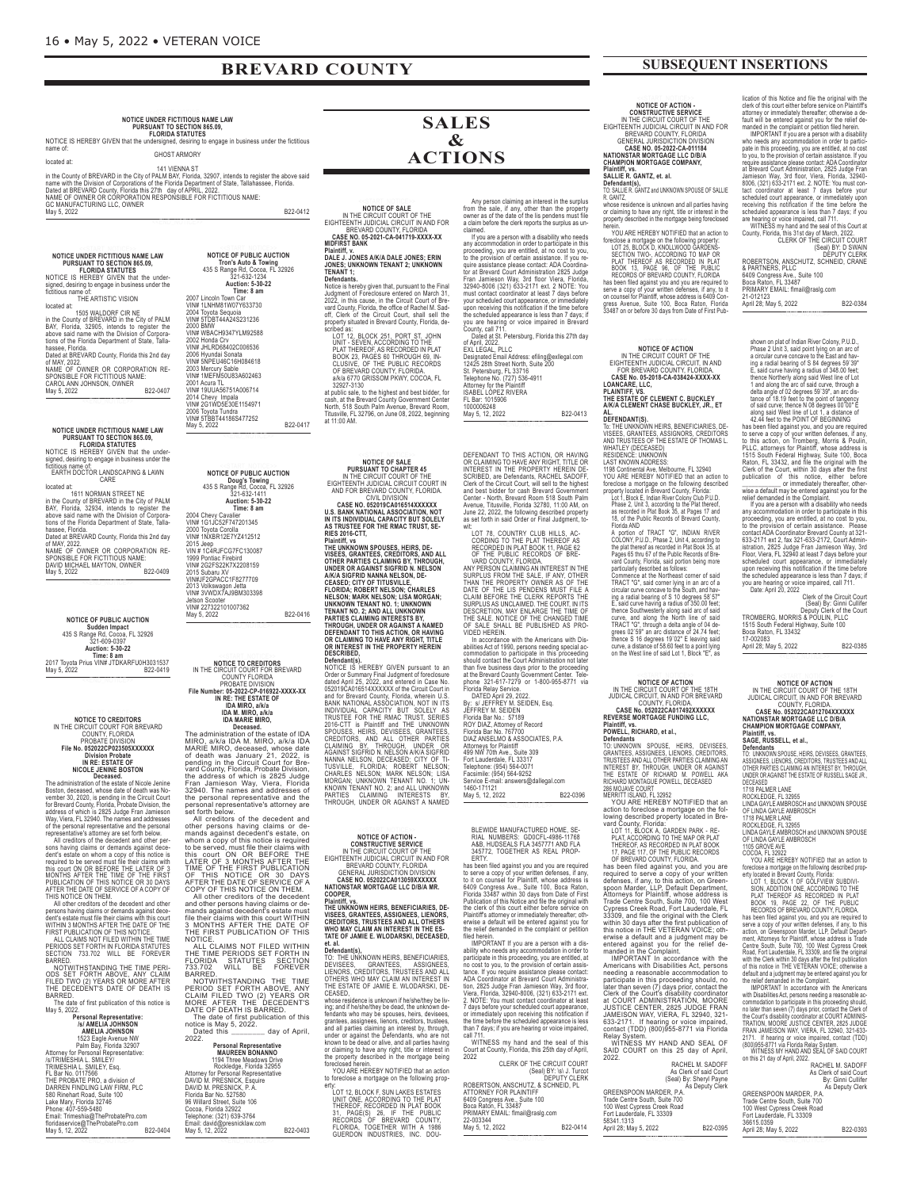## **BREVARD COUNTY**

NOTICE UNDER FICTITIOUS NAME LAW<br>PURSUANT TO SECTION 865.09,<br>NOTICE IS HEREBY GIVEN that the undersigned, desiring to engage in business under the fictitious<br>name of: GHOST ARMORY

located at:<br>in the County of BREVARD in the City of PALM BAY, Florida, 32907, intends to register the above said<br>name with the Division of Corporations of the Florida Department of State, Tallahassee, Florida.<br>Dated at BRE

NOTICE UNDER FICTITIOUS NAME LAW<br>PURSUANT TO SECTION 865.09,<br>FLORIDA STATUTES<br>NOTICE IS HEREBY GIVEN that the under-<br>signed, desiring to engage in business under the<br>ficitious name of:<br>THE ARTISTIC VISION

located at:<br>
in the County of BREVARD in the City of PALM<br>
BAY, Florida, 32905, intends to register the<br>
BAY, Florida, 32905, intends to register the<br>
above said name with the Division of Corpora-<br>
tions of the Florida Dep

<<END\_NOTICE>>

NOTICE UNDER FICTITIOUS NAME LAW<br>PURSUANT TO SECTION 865.09,<br>FLORIDA STATUTES<br>NOTICE IS HEREBY GIVEN that the under-<br>signed, desiring to engage in business under the<br>ficitiious name of:<br>EARTH DOCTOR LANDSCAPING & LAWN<br>CARE

located at:<br>
in the County of BREVARD in the City of PALM<br>
in the County of BREVARD in the City of PALM<br>
BAY, Florida, 32934, intends to register the<br>
above said name with the Division of Corpora-<br>
tions of the Florida<br>
Da NAME OF OWNER OR CORPORATION RE-<br>SPONSIBLE FOR FICTITIOUS NAME:<br>DAVID MICHAEL MAYTON, OWNER<br>May 5, 2022

NOTICE OF PUBLIC AUCTION NOTICE OF PUBLIC AUCTION<br>
Sudden Impact<br>
435 S Range Rd, Cocoa, FL 32926<br>
321-609-0397<br>
Auction: 5-30-22<br>
Time: 8 am<br>
2017 Toyda Prius VIN# JTDKARFU0H3031537<br>
May 5, 2022

<<END\_NOTICE>>

**NOTICE TO CREDITORS<br>IN THE CIRCUIT COURT FOR BREVARD<br>COUNTY, FLORIDA** 

**FROBATE DIVISION CONSULT TREAD CONSULT CONSULT CONSULT CONSULT IN A RE-ESTATE OF MOREOL SCALE JENNE BOSTON**<br> **INCOLE JENNE BOSTON**<br> **INCOLE JENNE BOSTON**<br>
The administration of the estate of Nicole Jenine<br>
Decased. whose

FILED TWO (2) YEARS OR MORE AFTER THE DECEDENT'S DATE OF DEATH IS BARRED. The date of first publication of this notice is May 5, 2022.

| way 5, ZUZZ.                          |          |
|---------------------------------------|----------|
| <b>Personal Representative:</b>       |          |
| <b>/s/ AMELIA JOHNSON</b>             |          |
| <b>AMELIA JOHNSON</b>                 |          |
| 1523 Eagle Avenue NW                  |          |
| Palm Bay, Florida 32907               |          |
| Attorney for Personal Representative: |          |
| /s/TRIMESHIA L. SMILEY/               |          |
| TRIMESHIA L. SMILEY, Esq.             |          |
| FL Bar No. 0117566                    |          |
| THE PROBATE PRO, a division of        |          |
| DARREN FINDLING LAW FIRM, PLC         |          |
| 580 Rinehart Road, Suite 100          |          |
| Lake Mary, Florida 32746              |          |
| Phone: 407-559-5480                   |          |
| Email: Trimeshia@TheProbatePro.com    |          |
| floridaservice@TheProbatePro.com      |          |
| May 5, 12, 2022                       | B22-0404 |
|                                       |          |

<<END\_NOTICE>>

**NOTICE OF PUBLIC AUCTION tron's auto & towing** 435 S Range Rd, Cocoa, FL 32926 321-632-1234 **auction: 5-30-22 time: 8 am** 2007 Lincoln Town Car VIN# 1LNHM81W07Y633730 2004 Toyota Sequoia VIN# 5TDBT44A24S231236 2000 BMW VIN# WBACH9347YLM92588 2002 Honda Crv VIN# JHLRD68402C006536 2006 Hyundai Sonata VIN# 5NPEU46C16H084618 2003 Mercury Sable VIN# 1MEFM50U83A602463 2001 Acura TL VIN# 19UUA56751A006714

2014 Chevy Impala VIN# 2G1WD5E30E1154971 2006 Toyota Tundra VIN# 5TBBT44186S477252

VIN#3TBB144T003477232<br>May 5, 2022 B22-0417

**NOTICE OF PUBLIC AUCTION doug's towing** 435 S Range Rd, Cocoa, FL 32926 321-632-1411 **auction: 5-30-22 time: 8 am** 2004 Chevy Cavalier VIN# 1G1JC52F747201345 2000 Toyota Corolla VIN# 1NXBR12E7Yz412512 2015 Jeep VIN # 1C4RJFCG7FC130087 1999 Pontiac Firebird VIN# 2G2FS22k7X2208159 2015 Subaru XV VIN#JF2GPACC1F8277709 2013 Volkswagon Jetta VIN# 3VWDX7AJ9BM303398

Jetson Scooter VIN# 227322101007362 May 5, 2022 B22-0416

## **NOTICE TO CREDITORS** IN THE CIRCUIT COURT FOR BREVARD<br>
COUNTY FLORIDA<br>
PROBATE DIVISION<br>
Frie Number: 05-2022-CP-016922-XXXX-XX<br>
IN RE: THE ESTATE OF<br>
IDA MIRO, a/k/a<br>
IDA MIRO, a/k/a<br>
IDA MARIE MIRO,<br>
IDA MARIE MIRO,

The administration of the estate of IDA<br>
Deceased, whose the estate of IDA<br>
MIRO, a/k/a IDA M. MIRO, a/k/a IDA<br>
MARIE MIRO, acceased, whose date<br>
of death was January 21, 2022, is<br>
pending in the Circuit Court for Bre-<br>
pe

and other persons having claims or de-<br>mands against decedent's estate must<br>file their claims with this court WITHIN<br>3 MONTHS AFTER THE DATE OF<br>THE FIRST PUBLICATION OF THIS<br>NOTICE.<br>THE TIME PERIODS SET FORTH IN<br>FIGRIDA ST

BARRED.<br>
NOTWITHSTANDING THE TIME<br>
PERIOD SET FORTH ABOVE, ANY<br>CLAIM FILED TWO (2) YEARS OR<br>
MORE AFTER THE DECEDENT'S<br>
DATE OF DEATH IS BARRED.<br>
DATE OF DEATH IS BARRED.<br>
The date of first publication of this<br>
The date of

**Personal Penrosentative** 

| <b>MAUREEN BONANNO</b><br>1194 Three Meadows Drive<br>Rockledge, Florida 32955<br>Attorney for Personal Representative<br>DAVID M. PRESNICK, Esquire<br>DAVID M. PRESNICK, P.A.<br>Florida Bar No. 527580<br>96 Willard Street, Suite 106<br>Cocoa, Florida 32922<br>Telephone: (321) 639-3764<br>Email: david@presnicklaw.com<br>May 5, 12, 2022 | B22-0403 |
|---------------------------------------------------------------------------------------------------------------------------------------------------------------------------------------------------------------------------------------------------------------------------------------------------------------------------------------------------|----------|
| < <end notice=""></end>                                                                                                                                                                                                                                                                                                                           |          |

**SALES & ACTIONS**

NOTICE OF SALE<br>IN THE CIRCUIT COURT OF THE<br>EIGHTEENTH JUDICIAL CIRCUIT IN AND FOR<br>EREVARD COUNTY, FLORIDA<br>CASE NO. 05-2021-CA-041719-XXXX-XX<br>Miantiff, v. Any person claiming an interest in the surplus<br>from the sale, if any, other than the property<br>owner as of the date of the lis pendens must file<br>a claim before the clerk reports the surplus as unclaimed<br>
imed.<br>
If you are a person with a disability who needs<br>
any accommodation in order to participate in this<br>
proceeding, you are entitled, at no cost to you,<br>
to the provision of certain assistance. If you re-<br>
into

## **daLe J. JoNes a/K/a daLe JoNes; eriN JoNes; UNKNowN teNaNt 2; UNKNowN teNaNt 1; defendants.**

Notice is hereby given that, pursuant to the Final<br>Judgment of Foreclosure entered on March 31,<br>2022, in this cause, in the Circuit Count of Bre-<br>vard County, Florida, the office of Rachel M. Sad-<br>off, Clerk of the Circuit

cash, at the Brevard County Government Center North, 518 South Palm Avenue, Brevard Room, Titusville, FL 32796, on June 08, 2022, beginning at 11:00 AM.

**NOTICE OF SALE<br>
PURSUANT TO CHAPTER 45<br>
IN THE CIRCUIT COURT IN<br>
EIGHTEENTH JUDICIAL CIRCUIT COURT IN<br>
AND FOR BREVARD COUNTY, FLORIDA.<br>
CIVIL DIVISION<br>
CIVIL DIVISION** 

CASE NO. 052019CA016514XXXXXX<br>U.S. BANK NATIONAL ASSOCIATION, NOT<br>IN ITS INDIVIDUAL CAPACITY BUT SOLELY<br>AS TRUSTEE FOR THE RMAC TRUST, SE-<br>RIES 2016-CTT,

**Plaintiff, vs. SPOLOGYS, HEIRS, DE-**<br>THE UNKNOWN SPOUSES, HEIRS, DE-<br>VISEES, GRANTEES, CREDITORS, AND ALL<br>OTHER PARTIES CLAIMING BY, THROUGH,<br>UNDER OR AGAINST SIGFRID N. NELSON<br>AIKIA SIGFRID NANNA NELSON, DE-<br>ELORIDA; NOB

NOTICE IS HEREBY GIVEN pursuant to and<br>Order or Summary Final Judgment of foreclosure<br>dated April 25, 2022, and entered in Case No.<br>652019CA016514XXXXX of the Cicuit Court in the Sean and for Brevard County, Florida, where



COOPER,<br>Plaintiff, vs.<br>The Unknown Heirs, Beneficiaries, De-<br>Visees, Grantees, Assignees, Lienors,<br>Creditors, Trustees and All Others<br>Who May Clamie E. Wlodarski, Deceased,<br>Tate Of Jamie E. Wlodarski, Deceased,

**et. al. defendant(s),** TO: THE UNkNOWN HEIRS, BENEFICIARIES, DEVISEES, GRANTEES, ASSIGNEES, LIENORS, CREDITORS, TRUSTEES AND ALL OTHERS WHO MAY CLAIM AN INTEREST IN THE ESTATE OF JAMIE E. WLODARSkI, DE-CEASED,

whose residence is unknown if he/she/they be liv-<br>ing; and if he/she/they be dead, the unknown de-<br>fendants who may be spouses, heirs, devisees,<br>grantees, assignes, lience, creditors, trustees,<br>and all parties claiming an

ty:<br>【LOT 12, BLOCK F, SUN LAKES ESTATES UNIT ONE, ACCORDING TO THE PLAT<br>THEREOF, RECORDED IN PLAT BOOK<br>RECORDS OF BREVARD COUNTY,<br>RECORDS OF BREVARD COUNTY,<br>FLORIDA, TOGETHER WITH A 1986<br>GUERDON INDUSTRIES, INC. DOU- **SUBSEQUENT INSERTIONS**

**NOTICE OF ACTION -**<br>CONSTRUCTIVE SERVICE<br>IN THE CIRCUIT COURT OF THE<br>EIGHTEENTH JUDICIAL CIRCUIT IN AND FOR<br>BREVARD COUNTY, FLORIDA<br>CENERAL JURISDICTION DIVISION<br>ANTIONSTAR MORTGAGE LLC DIBIA<br>CHAMPION MORTGAGE COMPANY,<br>PI

**defendant(s),** TO: SALLIE R. GANTz and UNkNOWN SPOUSE OF SALLIE R. GANTz, whose residence is unknown and all parties having or claiming to have any right, title or interest in the property described in the mortgage being foreclosed

rein.<br>YOU ARE HEREBY NOTIFIED that an action to YOU ARE HEREBY NOTIFIED that an action to<br>foreclose a mortgage on the following property:<br>LOT 25, BLOCK D, KNOLLWOOD GARDENS-<br>SECTION TWO-, ACCORDING TO MAP OR<br>PLAT THEREOF AS RECORDED IN PLAT<br>ROOK 13, PAGE 96, OF THE PUBL

has been filed against you and you are required to<br>serve a copy of your written defenses, if any, to it<br>on counsel for Plainiff, whose address is 6409 Con-<br>gress Avenue, Suite 100, Boca Raton, Florida<br>33487 on or before 30

**NOTICE OF ACTION<br>EIGHTEEN THE CIRCUIT COURT OF THE<br>EIGHTEENTH JUDICIAL CIRCUIT, IN AND<br>FOR BREVARD COUNTY, FLORIDA.<br>CASE NO. 05-2018-CA-038424-XXXX-XX<br>DANKIRE, LLC.<br>PLAINTIFF, VS.<br>AVKIA CLEMENT CHASE BUCKLEY, JR., ET** 

## **aL. deFeNdaNt(s).**

To: THE UNKNOWN HEIRS, BENEFICIARIES, DE-<br>VISEES, GRANTEES, ASSIGNORS, CREDITORS<br>AND TRUSTEES OF THE ESTATE OF THOMAS L.<br>WHATLEY (DECEASED)<br>RESIDENCE: UNKNOWN<br>LAST KNOWN ADDRESS:

1198 Continental Ave, Melbourne, FL 32940<br>YOU ARE HEREBY NOTIFIED that an action to<br>foreclose a mortgage on the following described<br>property located in Brevard County, Florida:<br>Lot 1, Block E, Indian River Colony Club P.U.

A portion of TRACT "c", INDIAN RIVER<br>COLONY, P.U.D., Phase 2, Unit 4, according to<br>the plat thereof as recorded in Plat Book 35, at<br>Pages 65 thru 67 of the Public Records of Bte-<br>variation County, Florida, said portion bei

## **NOTICE OF ACTION<br>IN THE CIRCUIT COURT OF THE 18TH<br>JUDICAL CIRCUIT, IN AND FOR BREVARD<br>COUNTY, FLORIDA.<br>CASE No. 052022CA017492XXXXXX<br>REVERSE MORTGAGE FUNDING LLC,<br>PIQWELL, RICHARD, et al.,**

BLEWIDE MANUFACTURED HOME, SE-<br>RIAL NUMBERS: GDOCFL-4986-11768<br>A&B, HUDSEALS FLA 3457771 AND FLA<br>B45772, TOGETHER AS REAL PROP-<br>B45772, TOGETHER AS REAL PROP-<br>ERTY.<br>In ERTY.<br>We a copy of your written defenses, if any<br>to se

<<END\_NOTICE>>

DEFENDANT TO THIS ACTION, OR HAVING<br>IOR CLAMING TO HAVE ANY RIGHT, TITLE OR<br>INTEREST IN THE PROPERTY HEREIN DE-SCRIBED, are Defendants, RACHEL SADOFF,<br>Clerk of the Circuit Court, will sell to the highest<br>and best bidder fo

LOT 78, COUNTRY CLUB HILLS, AG-<br>CORDING TO THE PLAT THEREOF AS<br>RECORDED IN PLAT BOOK 11, PAGE 62<br>- VARD COUNTY, FLORIDA<br>- VARD COUNTY, FLORIDA<br>- VARD COUNTY, FLORIDA<br>SURPULS FROM THE SALE IF ANY OTHER<br>SURPLUS FROM THE SALE

In accordance with the Americans with Dis-<br>abilities Act of 1990, persons needing special accommodation to participate in this proceeding<br>should conduct the Court Administration not later<br>than five business days prior to t

499 NW 70th Ave., Suite 309 Fort Lauderdale, FL 33317 Telephone: (954) 564-0071 Facsimile: (954) 564-9252

Service E-mail: answers@dallegal.com 1460-171121 May 5, 12, 2022 B22-0396 <<END\_NOTICE>>

MPORTANT If you are a person with a dis-<br>ability who needs any accommodation in order to<br>participate in this proceeding, you are entitled, at<br>abic participate in this proceeding, you are entitled, at<br>abic are if you requir

WITHESS my hand and the seal of this Court at County, Florida, this 25th day of April, 2022

Seal) BY: \s\ J. Turcot)<br>DEPUTY CLERK<br>ROBERTSON, ANSCHUTZ, & SCHNEID, PL<br>ATTORNEY FOR PLAINTIFF

6409 Congress Ave., Suite 100 Boca Raton, FL 33487 PRIMARY EMAIL: flmail@raslg.com 22-003344 May 5, 12, 2022 B22-0414 <<END\_NOTICE>>

CLERk OF THE CIRCUIT COURT

**Defendants**<br>To: UNKNOWN SPOUSE, HEIRS, DEVISEES,<br>GRANTEES, ASSIGNEES, LIENORS, CREDITORS,<br>TRUSTEES ANDALL OTHER PARTIES CLAIMING AN<br>INTEREST BY, THROUGH, UNDER OR AGAINST<br>THE ESTATE OF RICHARD M. POWELL AKA<br>286 MOJAVE COU

MERRITT ISLAND, FL 32952<br>YOU ARE HEREBY NOTIFIED that an<br>action to foreclose a mortgage on the fol-

lowing described property located in Bre-<br>varied County, Florida:<br>LOT 11, BLOCK A, GARDEN PARK - RE-<br>PLAT, ACCORDING TO THE MAP OR PLAT BOOK<br>17, PAGE 117, OF THE PUBLIC RECORDS<br>17, PAGE 117, OF THE PUBLIC RECORDS<br>18 been f

participate in this proceeding should, no<br>later than seven (7) days prior, contact the<br>Clerk of the Court's disability coordinator<br>at COURT ADMINISTRATION, MOORE<br>JUSTICE CENTER, 2825 JUDGE FRAN<br>JAMEISON WAY, VIERA, FL 3294

Relay System. WITNESS MY HAND AND SEAL OF SAID COURT on this 25 day of April, 2022.

|                         | RACHEL M. SADOFF                          |
|-------------------------|-------------------------------------------|
|                         | As Clerk of said Court                    |
|                         | Seal) By: Sheryl Payne<br>As Deputy Clerk |
|                         |                                           |
| GREENSPOON MARDER, P.A. |                                           |

GREENSPOON MARDER, P.A.<br>Trade Centre South, Suite 700<br>100 West Cypress Creek Road<br>Fort Lauderdale, FL 33309<br>88341.1313<br>April 28; May 5, 2022<br>April 28; May 5, 2022

COCOA, FL 32922<br>
COCOA TRENER MOTIFIED that an action to<br>
foreclose a mortgage on the following described prop-<br>
rety located in Breward County, Florida<br>
SION, ADDITION ONE, ACCORDING TO THE PUBLIC<br>
SION, ADDITION ONE, ACC

RACHEL M. SADOFF<br>As Clerk of said Court<br>By: Ginni Cullifer<br>As Deputy Clerk

GREENSPOON MARDER, P.A.<br>Trade Centre South, Suite 700<br>100 West Cypress Creek Road<br>Fort Lauderdale, FL 33309<br>36615.0359<br>April 28; May 5, 2022<br>April 28; May 5, 2022

<<END\_NOTICE>>

lication of this Notice and file the original with the<br>clerk of this court either before service on Plaintiffs<br>attorney or immediately thereafter, cherwise a de-<br>fault will be entered against you for the relief de-<br>manded <<END\_NOTICE>>

shown on plat of Indian River Colony, P.U.D.<br>
Phase 2 Unit 3, said point lying on an arc of<br>
a circular curve concave to the East and hav-<br>
ing a radial bearing of S 84 degrees 59<sup>:39</sup><br>
thence Northerly along said West lin

Deputy Clerk of the Court<br>TROMBERG, MORRIS & POULIN, PLLC<br>1515 South Federal Highway, Suite 100

Boca Raton, FL 33432 17-002083 April 28; May 5, 2022 B22-0385 <<END\_NOTICE>>

**NOTICE OF ACTION<br>IN THE CIRCUIT COURT OF THE 18TH<br>JUDICAL CIRCUIT, IN AND FOR BREVARD<br>COUNTY, FLORIDA.<br>CASE No. 052022CA012704XXXXXX<br>NATIONSTAR MORTGAGE LIC DISIA<br>CHAMPION MORTGAGE COMPANY,** 

**Plaintiff, vs. saGe, rUsseLL, et al.,**

**Defendants**<br>TO: UNKNOWN SPOUSE, HEIRS, DEVISEES, GRANTEES<br>ASSIGNEES, LIENORS, CREDITORS, TRUSTEES AND ALL<br>OTHER PARTIES CLAIMING AN INTEREST BY, THROUGH,<br>UNDER OR AGAINST THE ESTATE OF RUSSELL SAGE JR.,

DECEASED<br>CITABLOUGE LANE<br>ROCKLEDGE, FL 32955<br>LINDA GAYLE AMBROSCH and UNKNOWN SPOUSE<br>OF LINDA GAYLE AMBROSCH<br>T176 PALMER LANE<br>ROCKLEDGE, FL 32955<br>LINDA GAYLE AMBROSCH and UNKNOWN SPOUSE<br>LINDA GAYLE AMBROSCH<br>1105 GROVE AVE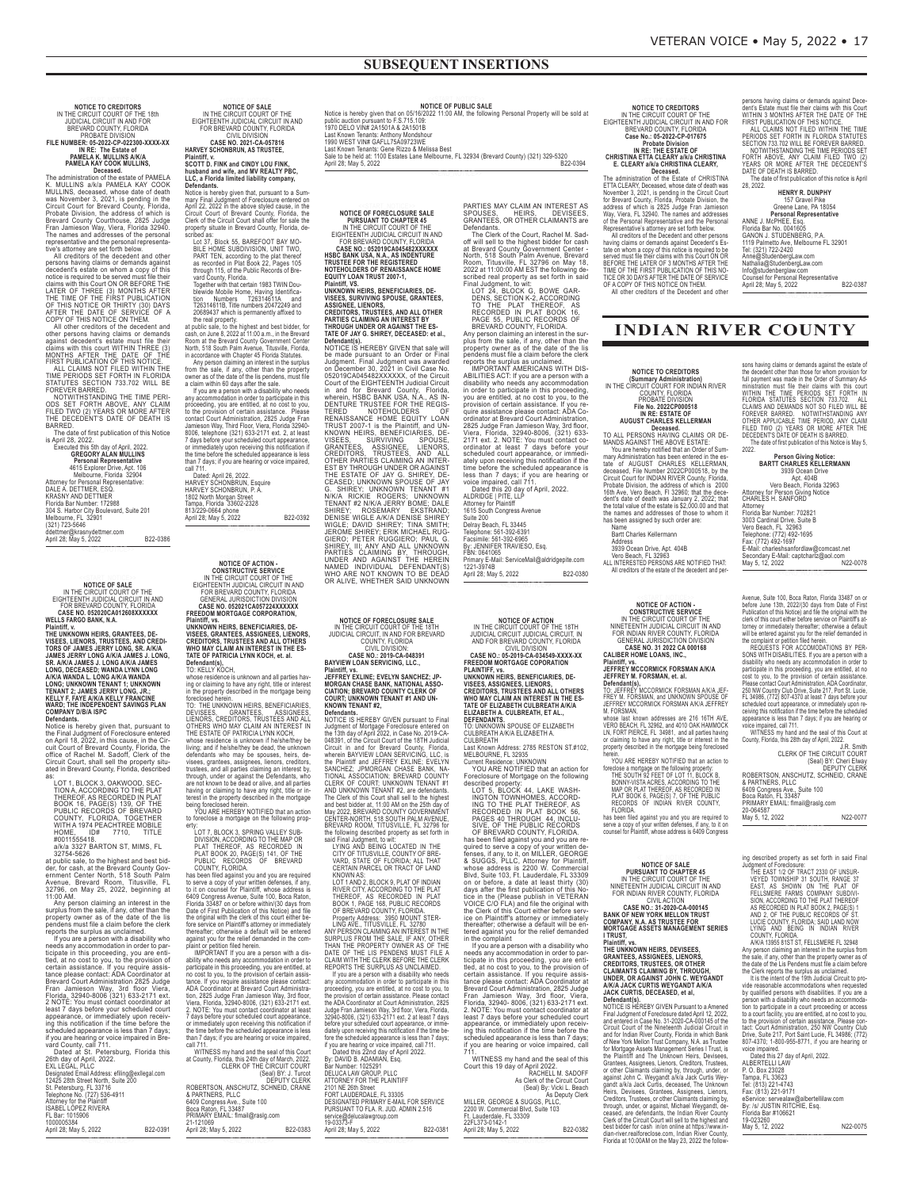**NOTICE TO CREDITORS<br>IN THE CIRCUIT COURT OF THE 18th**<br>JUDICIAL CIRCUIT IN AND FOR<br>BREVARD COUNTY, FLORIDA PROBATE DIVISION<br>FILE NUMBER: 05-2022-CP-022300-XXXX-XX<br>IN RE: The Estate of<br>PAMELA K. MULLINS A/K/A<br>PAMELA KAY COOK MULLINS,

**Decased**<br> **Checased**<br> **Checased**<br> **Checased**<br> **Checased**<br> **Checased**<br> **Checased**<br> **Checased**<br> **Checased**<br> **Checased**<br> **Checased**<br> **Checase Checase Amely in the addess of which is<br>
<b>Brobate Division, the addess of which is** 

persons having claims or demands against<br>decedent's estate on whom a copy of this<br>notice is required to be served must file their<br>claims with this Court ON OR BEFORE THE<br>LATER OF THREE (3) MONTHS AFTER<br>THE TIME OF THE FIRS

All other creditors of the decedent and<br>against decedent's estate must file their<br>claims with this court WITHIN THREE (3)<br>MONTHS AFTER THE DATE OF THE

FIRST PUBLICATION OF THIS NOTICE.<br>TIME PERIODS SET FORTH IN FLORIDA<br>TIME PERIODS SET FORTH IN FLORIDA<br>STATUTES SECTION 733.702 WILL BE<br>FOREVER BARRED.<br>NOTWITHSTANDING THE TIME PERI-<br>ODS SET FORTH ABOVE, ANY CLAIM<br>FILED TWO

The date of first publication of this Notice is April 28, 2022. Executed this 5th day of April, 2022. **GREGORY ALAN MULLINS**

**Personal Representative**<br>4615 Explorer Drive, Apt. 106<br>Melbourne, Florida 32904<br>Attorney for Personal Representative:<br>DALE A. DETTIMER, ESQ.<br>CRASNY AND DETTIMER<br>Florida Bar Number: 172988<br>304 S. Harbor City Boulevard, Sui

Melbourne, FL<br>(321) 723-5646 ddettmer@krasnydettmer.com<br>April 28; May 5, 2022

NOTICE OF SALE<br>IN THE CIRCUIT COURT OF THE<br>EIGHTEENTH JUDICIAL CIRCUIT IN AND<br>FOR BREVARD COUNTY, FLORIDA<br>CASE NO. 053020CA012608XXXXXX<br>WELLS FARGO BANK, N.A.

**Plaintiff, v.<br>ETHITH, v. 1988, STANTEES, GRANTEES, DE-VISEES, LIENORS, TRUSTEES, AND CREDITORS (DETAINS JAMES J. LONG, ARAIA<br>JAMES JERRY LONG A/K/A JAMES J. LONG, SR. A/K/A<br>JAMES JERRY LONG A/K/A JAMES J. LONG,<br>D. ONG, DE** 

Notice is hereby given that, pursuant to<br>the Final Judgment of Foreclosure entered<br>on April 18, 2022, in this cause, in the Cir-<br>cuit Court of Brevard County, Florida, the<br>office of Rachel M. Sadoff, Clerk of the<br>Circuit C

LOT 1, BLOCK 3, OAKWOOD, SEC-<br>TION A, ACCORDING TO THE PLAT<br>BOOK 16, AS RECORDED IN PLAT<br>BOOK 16, PAGE(S) 139, OF THE<br>PUBLIC RECORDS OF BREVARD<br>PUBLIC RECORDS OF BREVARD<br>COUNTY, FLORIDA, TOGETHER<br>HOME, ID# 7710, TITLE<br>#001

at public sale, to the highest and best bid-<br>der, for cash, at the Breward County Gov-<br>enrment Center North, 518 South Palm<br>Avenue, Brevard Room, Titusville, FL<br>32796, on May 25, 2022, beginning at<br>11:00 AM.<br>Any person cla

appearance, or immediately upon receiving this notification if the time before the<br>includication if the time before the stream of volume and county, call 711.<br>
Date at Scuring or voice impaired in Bre-<br>
Date at St. Petersb

NOTICE OF SALE<br>IN THE CIRCUIT COURT OF THE<br>EIGHTEENTH JUDICIAL CIRCUIT IN AND<br>FOR BREVARD COUNTY, FLORIDA<br>CASE NO. 2021-CA-057816<br>MARVEY SCHONBRUN, AS TRUSTEE,

Plaintiff, v.<br>C. a Florida CINDY LOU FINK,<br>SCOTT D. FINK and CINDY LOU FINK,<br>thusband and wife, and MV REALTY PBC,<br>the fuscion and wife in the limit, purspany,<br>Defendants.<br>Notice is hereby given that, purspant to a Sum-<br>ma

owner as of the date of the lis pendens, must file<br>a claim within 60 days affer the sale.<br>If you are a person with a disability who needs<br>any accommodation in order to participate in this<br>proceeding, you are entitled, at n

call 711.<br>HARVEY SCHONBRUN, Esquire<br>HARVEY SCHONBRUN, P. A.<br>1802 North Morgan Street<br>Tampa, Florida 33602-2328<br>Tampa, Florida 33602-2328<br>813/229-0664 phone<br>April 28; May 5, 2022<br>B22-0392

<<END\_NOTICE>>

**NOTICE OF ACTION -<br>CONSTRUCTIVE SERVICE<br>IN THE CIRCUIT COURT OF THE<br>EIGHTEENTH JUDICIAL CIRCUIT IN AND<br>FOR BREVARD COUNTY, FLORIDA<br>GENERAL JURISDICTION DIVISION<br>CASE NO. 053021CA057224XXXXX<br>FREEDOM MORTGAGE CORPORATION,** 

Plaintiff, vs.<br>UNKNOWN HEIRS, BENEFICIARIES, DE-<br>VISEES, GRANTEES, ASSIGNEES, LIENORS,<br>CREDITORS, TRUSTEES AND ALL OTHERS<br>WHO MAY CLAIM AN INTEREST IN THE ES-<br>TATE OF PATRICIA LYNN KOCH, et. al.

**Defendant(s),** TO: KELLY KOCH,

whose residence is unknown and all parties hav-ing or claiming to have any right, title or interest

in the property described in the mortgage being<br>foreclosed herein.<br>TO: THE UNKNOWN HEIRS, BENEFICIARIES,<br>DEVISIEES, CREDITORS, TRUSTEES ANDED.<br>LIENORS, CREDITORS, TRUSTEES AND ALL<br>THE ESTATE OF PATRICIA LYNN KOCH,<br>THE ESTA having or claiming to have any right, title or in-terest in the property described in the mortgage being foreclosed herein. YOU ARE HEREBY NOTIFIED that an action

to foreclose a mortgage on the following prop-<br>to from: CoCORDING CONTEMENT (For the MAP OR DIVISION), ACCORDING TO THE MAP ON PLAT THEREOF, AS RECORDED IN<br>PLAT THEREOF, AS RECORDED IN<br>PLAT TOOK 20, PAGE(S) 141, OF THE MAP

ability who needs any accommodation in order to<br>participate in this proceeding, you are entitled, at<br>no cost to you, to the provision of certain assis-<br>tance. If you require assistance please contact:<br>ADA Coordinator at Br Viera, Florida, 32940-8006, (321) 633-2171 ext.<br>2. NOTE: You must contact coordinator at least<br>7 days before your scheduled court appearance,<br>or immediately upon receiving this notification in<br>the time before the scheduled

WITNESS my hand and the seal of this County, Florida, this 24th day of March, 2022<br>CLERK OF THE CIRCUIT COURT<br>(Seal) BY: J. Turcoft<br>PEP (Seal) BY: J. Turcoft<br>ROBERTSON, ANSCHUTZ, SCHNEID, CRANE<br>& PARTNERS, PLI.C<br>Borg Raton 21-121069 April 28; May 5, 2022 B22-0383 NOTICE OF PUBLIC SALE<br>public auction pursuant to F.S.715.109:<br>public auction pursuant to F.S.715.109:<br>1970 DELO VIN# GATELT/3A09723WE<br>Last Known Tenants: Anthony Mondshour<br>Last Known Tenants: Gene Rizzo & Melissa Best<br>Last

Sale to be held at: 1100 Estates Lane Melbourne, FL 32934 (Brevard County) (321) 329-5320 April 28; May 5, 2022 B22-0394 <<END\_NOTICE>>

**NOTICE OF FORECLOSURE SALE<br>
INTERCATION TO CHAPTER 45<br>
IN THE CIRCUIT COURT OF THE<br>
EIGHTEENTH JUDICIAL CIRCUIT IN AND<br>
FOR BREVARD COUNTY, FLORIDA<br>
ASE NO.: 052019CA045482XXXXX<br>
HSBC BANK USA, N.A., AS INDENTURE<br>
TRUSTEE** 

NOTICE IS HEREBY GIVEN that sale will<br>be made pursuant to an Order or Final Judgment. Final Judgment was awarded<br>of S2019CA045482XXXXXX, of the Circuit<br>Count of the EIGHTEENTH Judicial Circuit<br>Count of the EIGHTEENTH Judic

NOTICE OF FORECLOSURE SALE<br>IN THE CIRCUIT COURT OF THE 18TH<br>JUDICIAL CIRCUIT, IN AND FOR BREVARD<br>COUNTY, FLORIDA<br>CASE NO: 2019-CA-048391<br>CASE NO: 2019-CA-048391<br>BAYVIEW LOAN SERVICING, LLC.,

Plaintiff, vs.<br>JEFFREY EXLINE; EVELYN SANCHEZ; JP-<br>MORGAN CHASE BANK, NATIONAL ASSO-<br>CAUTON; BREVARD COUNTY CLERK OF<br>COURT; UNKNOWN TENANT #1 AND UN-<br>Defendants.<br>DOTICE IS HEREBY GIVEN pursuant to Final<br>NOTICE IS HEREBY GI

Judgment of Mortgage Foreclosure entered on<br>the 33th day of April 2022, in Case No. 2019-CA-<br>048391, of the Circuit Court of the 18TH Judicial<br>Circuit in and for Brevard County, Florida<br>wherein BAYVIEW LOAN SERVICING, LLC,

The Clerk of this Court shall sell to the highest<br>and best bidder at, 11:00 AM on the 25th day of<br>May 2022, BREVARD COUNTY GOVERNMENT<br>CENTER-NORTH, 518 SOUTH PALM AVENUE,<br>BREVARD ROOM, TITUSVILLE, FL 32796 for<br>BREVARD ROOM fore the scheduled appearance is less than 7 days; if you are hearing or voice impaired, call 711. Dated this 22nd day of April 2022. By: DAVID B. ADAMIAN, Esq.

| By: DAVID B. ADAMIAN, Esg.            |          |
|---------------------------------------|----------|
| Bar Number: 1025291                   |          |
| DELUCA LAW GROUP. PLLC                |          |
| ATTORNEY FOR THE PLAINTIFF            |          |
| 2101 NE 26th Street                   |          |
| FORT LAUDERDALE. FL 33305             |          |
| DESIGNATED PRIMARY E-MAIL FOR SERVICE |          |
| PURSUANT TO FLA. R. JUD. ADMIN 2.516  |          |
| service@delucalawgroup.com            |          |
| 19-03373-F                            |          |
| April 28; May 5, 2022                 | B22-0381 |

<<END\_NOTICE>>

PARTIES MAY CLAIM AN INTEREST AS SPOUSES, HEIRS, DEVISEES, GRANTEES, OR OTHER CLAIMANTS are

The Clerk of the Court, Rachel M. Sad-<br>The Clerk of the Court, Rachel M. Sad-<br>off will sell to the highest bidder for cash<br>North, 518 South Palm Avenue, Brevard<br>Room, Titusville, FL 32796 on May 18,<br>2022 at 11:00:00 AM EST

plus from the sale, if any, other than the property owner as of the date of the lis pendens must file a claim before the clerk

reports the surplus as unclaimed.<br>
IMPORTANT AMERICANS WITH DIS-<br>
ABILITIES ACT: If you are a person with a<br>
disability who needs any accommodation<br>
in order to participate in this proceeding,<br>
you are entitled, at no cost 2825 Judge Fran Jamieson Way, 3rd floor,<br>Viera, Florida, 32940-8006, (321) 633-<br>2171 ext. 2. NOTE: You must contact co-<br>ordinator at least 7 days before your<br>scheduled court appearance, or immedi-<br>ately upon receiving this

Suite 200<br>Delray Beach, FL 33445 Telephone: 561-392-6391<br>Facsimile: 561-392-6965<br>By: JENNIFER TRAVIESO, Esq.<br>FBN: 0641065<br>Primary E-Mail: ServiceMail@aldridgepite.com<br>1221-3974B<br>April 28; May 5, 2022<br>April 28; May 5, 2022

**NOTICE OF ACTION<br>
IN THE CIRCUIT COURT OF THE 18TH<br>
JUDICIAL CIRCUIT JUDICIAL CIRCUIT, IN<br>
AND FOR BREVARD COUNTY, FLORIDA<br>
CIVIL DIVISION<br>
CASE NO.: 05-2019-CA-034549-XXXX-XX<br>
FREEDOM MORTGAGE COPORATION<br>
DUAINTIFF, vs.<br>** 

TO: UNKNOWN SPOUSE OF ELIzABETH CULBREATH A/K/A ELIzABETH A. CULBREATH

Last Known Address: 2785 RESTON ST.#102,<br>MELBOURNE, FL 32935<br>Current Residence: UNKNOWN<br>Current Residence: UNKNOWN<br>YOU ARE NOTIFIED that an action for<br>Foreclosure of Mortgage on the following

described property: "<br>LOT 5, BLOCK 44, LAKE WASH-<br>INGTON TOWNHOMES, ACCORD-<br>ING TO THE PLAT THEREOF, AS<br>RECORDED IN PLAT BOOK 56,

PAGES 40 THROUGH 44, INCLU-<br>SIVE, OF THE PUBLIC RECORDS<br>OF BREVARD COUNTY, FLORIDA.<br>nas been filled against you and you are re-<br>equired to serve a copy of your written de-<br>fenses, if any, to it, on MILLER, GEORGE SERVEN<br>BN

RACHELL M. SADOFF<br>
As Clerk of the Circuit Court<br>
(Seal) By: Vicki L. Beach<br>
As Deputy Clerk<br>
As Deputy Clerk<br>
2200 W. Commercial Blvd, Suite 103<br>
Ft. Lauderdale, FL 33309<br>
April 28; May 5, 2022<br>
2022<br>
B22-0382

<<END\_NOTICE>>

**NOTICE TO CREDITORS<br>IN THE CIRCUIT COURT OF THE<br>EIGHTEENTH JUDICIAL CIRCUIT IN AND FOR<br>BREVARD COUNTY, FLORIDA** 

Case No.: 05-2022-CP-017675<br>
IN RE: THE ESTATE OF<br>
IN RE: THE ESTATE OF<br>
CHRISTINA ETTA CLEARY a/k/a CHRISTINA<br>
E. CLEARY a/k/a CHRISTINA CLEARY,<br>
The administration of the Estate of CHRISTINA<br>
THE administration of the Es

tate on whom a copy of this notice is required to be<br>served must file their claims with this Court ON OR<br>BEFORE THE LATER OF 3 MONTHS AFTER THE<br>TIME OF THE FIRST PUBLICATION OF THIS NO-<br>TICE OR 30 DAYS AFTER THE DATE OF SE

persons having claims or demands against Dece-<br>dent's Estate must file their claims with this Court<br>WITHIN 3 MONTHS AFTER THE DATE OF THE<br>FIRST PUBLICATION OF THIS NOTICE.<br>DERIODS SET FORTH IN FLORIDA STATUTES<br>SECTION 733.

HRNRY R. DUNPHY<br>
157 Gravel Pike<br>
Greene Lane, PA 18054<br>
2006 Personal Representative<br>
ANNE J. McPHEE, Esq.<br>
GANON J. STUDENBERG, P.A.<br>
119 Palmetto Ave, Melbourne FL 32901<br>
119 Palmetto Ave, Melbourne FL 32901<br>
116 Palmet

<<END\_NOTICE>>

sons having claims or demands against the estate of<br>the decedent other than those for whom provision for<br>full payment was made in the Order of Summary Ad-<br>ministration must file their claims with this court.<br>WITHIN THE TIM

**Person Giving Notice:**<br> **BARTT CHARLES KELLERMANN**<br>
3939 Ocean Drive<br>
Vero Beach, Florida 32963<br>
Attorney for Person Giving Notice<br>
CHARLES H. SANFORD<br>
CHARLES H. SANFORD

3003 Cardinal Drive, Suite B<br>Vero Beach, FL 32963<br>Telephone: (772) 492-1695<br>E-Mail: charleshsanfordlaw@comcast.net<br>Secondary E-Mail: captcharlz@aol.com<br>Secondary E-Mail: captcharlz@aol.com<br>May 5, 12, 2022

Avenue, Suite 100, Boca Raton, Florida 33487 on or<br>Before June 13th, 2022/(30 days from Date of First<br>Publication of this Notice) and file the original with the<br>derk of this court either before service on Palanith's at-<br>ch

CLERK OF THE CIRCUIT COURT<br>(Seal) BY: Cheri Elway<br>ROBERTSON, ANSCHUTZ, SCHNEID, CRANE<br>& PARTNERS, PLLC<br>6409 Congress Ave., Suite 100<br>Boca Raton, FL 33487<br>PRIMARY EMAIL: filmail@raslg.com<br>20-064587<br>May 5, 12, 2022<br>May 5, 12

Attorney Florida Bar Number: 702821

ing described property as set forth in said Final<br>duagramet of Foreclosure:<br>THE EAST 1/2 OF TRACT 2330 OF UNSUR-<br>VEYED TOWNSHIP 31 SOUTH, RANGE 37<br>FELLSMERE FARMS COMPANY SUBDIVI-<br>FELLSMERE FARMS COMPANY SUBDIVI-<br>FELLSMERE

voice impaired.<br>Dated this 27 day of April, 2022.<br>ALBERTELLI LAW

eService: servealaw@albertellilaw.com By: /s/ JUSTIN RITCHIE, Esq. Florida Bar #106621 19-023260 May 5, 12, 2022 N22-0075 <<END\_NOTICE>>

P. O. Box 23028 Tampa, FL 33623 Tel: (813) 221-4743 Fax: (813) 221-9171

### **INDIAN RIVER COUNTY**

**NOTICE TO CREDITORS (Summary Administration)** IN THE CIRCUIT COURT FOR INDIAN RIVER COUNTY, FLORIDA PROBATE DIVISION **File No. 2022CP000518 IN RE: ESTATE OF AUGUST CHARLES KELLERMAN**

**Deceased.**<br>TO ALL PERSONS HAVING CLAIMS OR DE-<br>MANDS AGAINST THE ABOVE ESTATE: You are hereby notified that an Order of Summary Administration has been entered in the esseaped, Fiel Nucleon Tate of AUGUST CHARLES KELLERMAN, Circuit Court for INDIAN RIVER County, Florida, Probate Division, the address

Name Bartt Charles Kellermann Address 3939 Ocean Drive, Apt. 404B Vero Beach, FL 32963 ALL INTERESTED PERSONS ARE NOTIFIED THAT: All creditors of the estate of the decedent and per-

**NOTICE OF ACTION -<br>CONSTRUCTIVE SERVICE<br>INT THE CIRCUIT COURT OF THE<br>NINETEENTH JUDICIAL CIRCUIT IN AND<br>FOR INDIAN RIVER COUNTY, FLORIDA<br>CALEBRAL JURISDICTION DIVISION<br>CALEBER HOME LOANS, INC.,<br>CALIBER HOME LOANS, INC.,** 

**Plaintiff, vs. JEFFREY MCCORMICK FORSMAN A/K/A JEFFREY M. FORSMAN, et. al.**

**Defendant(s),<br>T**O: JEFFREY MCCORMICK FORSMAN A/K/A JEF-<br>FREY M. FORSMAN, and UNKNOWN SPOUSE OF<br>JEFFREY MCCORMICK FORSMAN A/K/A JEFFREY<br>M. FORSMAN,

whose last known addresses are 216 16TH AVE<br>VERO BEACH, FL 32962, and 4010 OAK HAMMOCK<br>LN, FORT PIERCE, FL 34981, and all parties having<br>or claiming to have any right, title or interest in the<br>property described in the mor

has been filed against you and you are required to serve a copy of your written defenses, if any, to it on counsel for Plaintiff, whose address is 6409 Congress

## **NOTICE OF SALE<br>
<b>PURSUANT TO CHAPTER 45**<br>
IN THE CIRCUIT COURT OF THE<br>
NINETEENTH JUDICIAL CIRCUIT IN AND<br>
FOR INDIAN RIVER COUNTY, FLORIDA

CIVIL ACTION<br>CASE NO.: 31-2020-CA-000145<br>BANK OF NEW YORK MELLON TRUST<br>COMPANY, N.A. AS TRUSTEE FOR<br>MORTGAGE ASSETS MANAGEMENT SERIES

**I TRUST, Plaintiff, vs. THE UNKNOWN HEIRS, DEVISEES,** GRANTEES, ASSIGNEES, LIENORS,<br>CREDITORS, TRUSTEES, OR OTHER<br>CLAIMANTS CLAIMING BY, THROUGH,<br>UNDER, OR AGAINST JOHN C. WEYGANDT<br>AIKIA JACK CURTIS, DECEASED, et al,<br>JACK CURTIS, DECEASED, et al,

**Defendants).**<br>**Defendants (SCCC)**<br>**CONDITION CONSTANTS (SCCCC)**<br>**ROTICE IS HEREBY GIVEN Pursuant to a Amened**<br>Final Judgment of Foreclosure dated April 12, 2022,<br>Circuit Court of the Nineteenth Judicial Circuit in<br>and for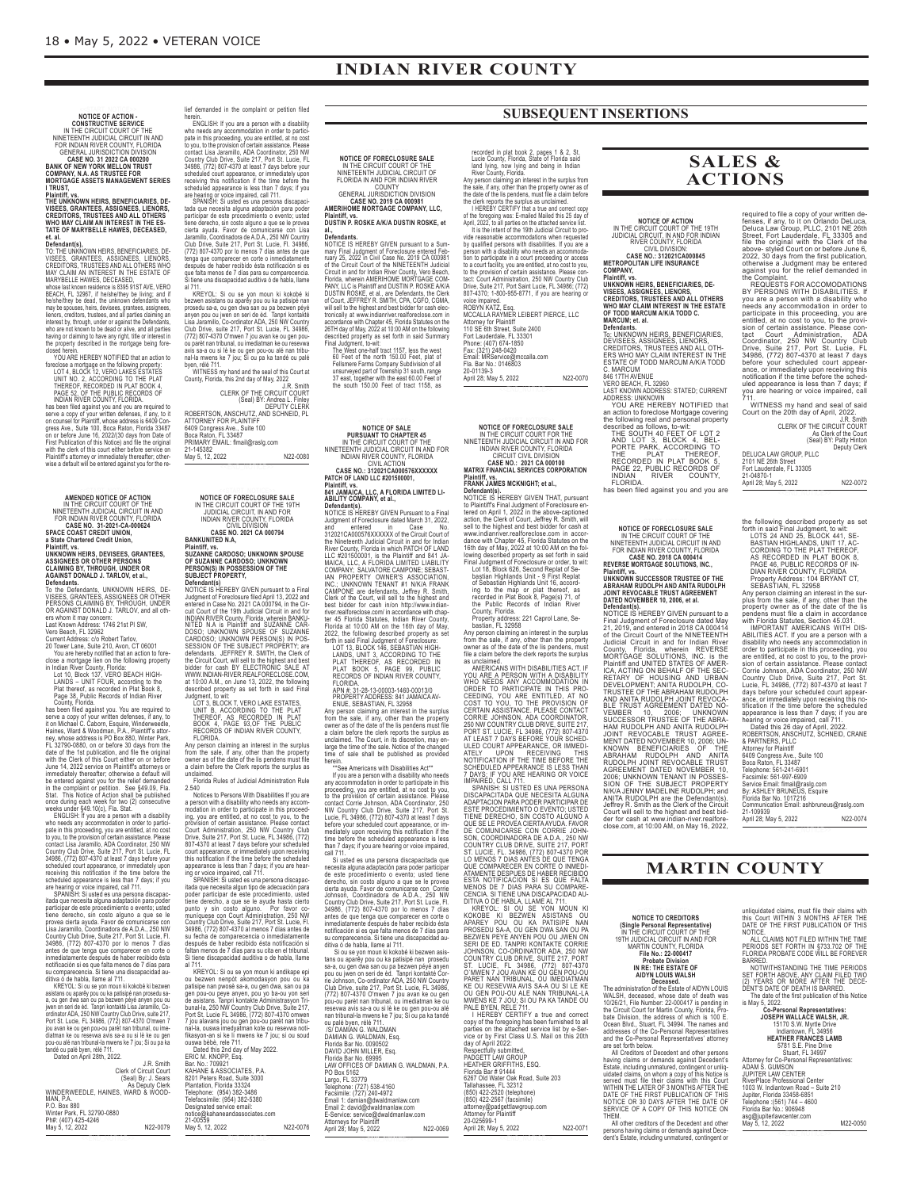## **INDIAN RIVER COUNTY**

# **NOTICE OF ACTION -<br>
IN THE CIRCUIT COURT OF THE<br>
IN INTEREMENT JUDICIAL CIRCUIT IN AND<br>
FOR INDIAN RIVER COUNTY, FLORIDA<br>
GREAL JURISDICTION DIVISION<br>
CASE NO. 31 2022 CA 000200<br>
BANK OF NEW YORK MELLON TRUST<br>
COMPANY, N.**

I TRUST,<br>Plaintiff, vs.<br>The Unknown Heirs, Beneficiaries, De-<br>Creditors, Trustees and All Others<br>Creditors, Trustees and All Others<br>Who May Clain An Interest in The Es-<br>Tate of Marybelle Hawes, Deceased, **et. al. Defendant(s),**

TO: THE UNIXNOWIN HERB, BENEFICIARIES, DE-<br>VISEES, GRANTEES, ASSIGNEES, LIENORS,<br>CREDITORS, TRUSTEES AND ALL OTHERS WHO<br>MARY CLAIM AN INTEREST IN THE ESTATE OF<br>MARYBELLE HAWES, DECEASED,<br>MARYBELLE HAWES, DECEASED,<br>DRAMYBEL

LOT 4, BLOCK 12, VERO LAKES ESTATES<br>THEREOF, RECORDING TO THE PLAT<br>THEREOF, RECORDING TO THE PLAT<br>INDIAN RIVER COUNTY, FLORIDA<br>INDIAN RIVER COUNTY, FLORIDA<br>In the speed of MOMARY (SUPER Server a copy of your written defens

**AMENDED NOTICE OF ACTION<br>IN THE CIRCUIT COURT OF THE<br>NINETEENTH JUDICIAL CIRCUIT IN AND<br>FOR INDIAN RIVER COUNTY, FLORIDA CASE NO. 31-2021-CA-000624 SPACE COAST CREDIT UNION,**

a State Chartered Credit Union,<br>Plaintiff, vs.<br>UNKNOWN HEIRS, DEVISEES, GRANTEES,<br>ASSIGNEES OR OTHER PERSONS<br>CLAIMING BY, THROUGH, UNDER OR<br>AGAINST DONALD J. TARLOV, et al.,

**Defendants.** UNKNOWN HEIRS, DE-<br>
Northe Defendants, UNKNOWN HEIRS, DE-<br>
VISEES, GRANTEES, ASSIGNEES OR OTHER<br>
TO the Defendants, UNKNOWN HEIRS, ASSIGNEES OR OTHER<br>
PIERSONS CLAIMING BY, THROUGH, UNDER<br>
PIERSONS CLAIMING B

jou avan ke ou gen pou-ou parèt nan tribunal, ou ime-diatman ke ou resevwa avis sa-a ou si lè ke ou gen pou-ou alé nan tribunal-la mwens ke 7 jou; Si ou pa ka tandé ou palé byen, rélé 711. Dated on April 28th, 2022.

| Dated on April 28th, 2022.         |                     |
|------------------------------------|---------------------|
|                                    | J.R. Smith          |
| Clerk of Circuit Court             |                     |
|                                    | (Seal) By: J. Sears |
|                                    | As Deputy Clerk     |
| WINDERWEEDLE, HAINES, WARD & WOOD- |                     |
| MAN. P.A.                          |                     |
| P.O. Box 880                       |                     |
| Winter Park, FL 32790-0880         |                     |
| Ph#: (407) 425-4246                |                     |
| May 5, 12, 2022                    | N22-0079            |

<<END\_NOTICE>>

lief demanded in the complaint or petition filed<br>herein.<br>Momentalism (and the complaint or petition filed<br>momental and accommodation in order to particle<br>pate in this proceeding, you are entitled, at no cost<br>occulate this

bezwen asistans ou aparêy pou ou ka patisipé nam<br>prosedu sa-a, ou gen dwa san ou pa bezwen péyé<br>anyen pou ou jwen on seri de èd. Tanpri kontakté<br>Lisa Jaramillo, Co-ordinator ADA, 250 NW Country<br>CiVID Dirve, suite 217, Por

avis sa-a ou si lè ke ou gen pou-ou alé nan tribu-nal-la mwens ke 7 jou; Si ou pa ka tandé ou palé byen, rélé 711. WITNESS my hand and the seal of this Court at County, Florida, this 2nd day of May, 2022

J.R. Smith<br>J.R. Smith (Seal) BY: Andrea L. Finley<br>(Seal) BY: Andrea L. Finley<br>DEPUTY CLERK<br>ATTORNEY FOR PLAINTIFF<br>Boca Raton, FL 33487<br>Boca Raton, FL 33487<br>PRIMARY EMAIL: flmail@raslg.com<br>21-145382<br>DRIMARY EMAIL: flmail@ra

**NOTICE OF FORECLOSURE SALE**<br>IN THE CIRCUIT COURT OF THE 19TH<br>JUDICIAL CIRCUIT, IN AND FOR<br>INDIAN RIVER COUNTY, FLORIDA<br>CIVIL DIVISION

**CASE NO. 2021 CA 000794 BANKUNITED N.A,**

Plaintiff, vs.<br>SUZANNE CARDOSO; UNKNOWN SPOUSE<br>OF SUZANNE CARDOSO; UNKNOWN<br>PERSON(S) IN POSSESSION OF THE<br>SUBJECT PROPERTY,

**Defendants**<br> **Definition**<br> **OCCUTE IS HEREBY GIVEN pursuant to a Final Judgment of Foreclosure filed April 13, 2022 and<br>
entered in Case No. 2021 CA 000794, in the Cir-<br>
cuit Court of the 19th Judicial Circuit in and for<br>** 

Any person claiming an interest in the surplus from the sale, if any, other than the property owner as of the date of the lis pendens must file a claim before the Clerk reports the surplus as

unclaimed.<br>
Clearing Clearing Clearing Clearing Clearing Clearing Clearing Clearing and a person with a disability who needs any accommodation in order to participate in this proceed-<br>
modation in order to participate in t

ou bezwen nenpôt akomodasyon pou ou ka<br>patisipe nan pwosè sa-a, ou gen dwa, san ou pa<br>gen pou-ou peye anyen, pou yo ba-ou yon seri<br>de asistans. Tanpri kontakte Administrasyon Tri-<br>bunal-la, 250 NW Country Club Drive, Suite fikasyon-an si ke li mwens ke 7 jou; si ou soud ouswa bèbè, rele 711. Dated this 2nd day of May 2022. ERIC M. KNOPP, Esq. Bar. No.: 709921 KAHANE & ASSOCIATES, P.A. 8201 Peters Road, Suite 3000 Plantation, Florida 33324 Telephone: (954) 382-3486 Telefacsimile: (954) 382-5380 Designated service email: notice@kahaneandassociates.com 21-00559

May 5, 12, 2022 N22-0076 <<END\_NOTICE>>

## **NOTICE OF FORECLOSURE SALE**

IN THE CIRCUIT COURT OF THE<br>NINETEENTH JUDICIAL CIRCUIT OF<br>FLORIDA IN AND FOR INDIAN RIVER<br>GENERAL JURISDICTION DIVISION<br>CASE NO. 2019 CA 000981<br>AMERIHOME MORTGAGE COMPANY, LLC, **Plaintiff, vs. DUSTIN P. ROSKE A/K/A DUSTIN ROSKE, et**

## **al., Defendants.**

NOTICE IS HEREBY GIVEN pursuant to a Summary Final Judgment of Foreclosure entered February 25, 2022 in Civil Case No. 2019 CA 000981<br>Of the Circuit Court of the NINETEENTH Judicial Circuit in and for Indian River Countly,

**NOTICE OF SALE<br>
PURSUANT TO CHAPTER 45<br>
IN THE CIRCUIT COURT OF THE<br>
NINETEENTH JUDICIAL CIRCUIT IN AND FOR<br>
INDIAN RIVER COUNTY, FLORIDA<br>
CIVIL ACTION<br>
CIVIL ACTION** 

**CASE NO.: 312021CA000576XXXXXX PATCH OF LAND LLC #201500001,**

Plaintiff, vs.<br>
Plaintiff, vs.<br>
841 JAMAICA, LLC, A FLORIDA LIMITED LI-<br>
8HLITY COMPANY, et al.,<br>
Defendants).<br>
DOTICE IS HEREBY GIVEN Pursuant to a Final<br>
Judgment of Foreclosure dated March 31, 2022,<br>
and<br>
20221CA000576X Clerk of the Court, will sell to the highest and<br>best bidder for cash in/on http://www.indian-<br>inverrealforeclose.com/in accordance with chap-<br>ter 45 Florida Statutes, Indian River County,<br>Forida at 10:00 AM on the 16th da

FLORIDA<br>
APN #: 31-28-13-00003-1460-00013/0<br>
PROPERTY ADDRESS: 841 JAMAICA AV-<br>
ENUE, SEBASTIAN, FL 32958<br>
Any person claiming an interest in the surplus<br>
from the sale, if any, other than the property<br>
from the sale, if a

herein.<br>
"See Americans with Disabilities Act\*"<br>
If you are a person with a disability who in eeds<br>
any accommodation in order to participate in this<br>
proceeding, you are entitled, at no cost to you,<br>
to the provision of c

than 7 days; if you are hearing or voice impaired,<br>call 711.<br>
Si usted es una persona discapacitada que<br>
necesita alguna adquetación para poder participara<br>
de este procedimiento o evento; usted tiene<br>
derecho, sin costo a Largo, FL 33779 Telephone: (727) 538-4160 Facsimile: (727) 240-4972 Email 1: damian@dwaldmanlaw.com Email 2: david@dwaldmanlaw.com E-Service: service@dwaldmanlaw.com

Attorneys for Plaintiff<br>April 28; May 5, 2022 N22-0069

**SUBSEQUENT INSERTIONS**

recorded in plat book 2, pages 1 & 2, St.<br>
Lucie County, Florida, State of Florida said<br>
land lying, now lying and being in Indian<br>
River County, Florida.<br>
Altan Papy, other than the property owner as of<br>
the sale, if any,

ROBYN KATZ, Esq. MCCALLA RAYMER LEIBERT PIERCE, LLC Attorney for Plaintiff<br>110 SE 6th Street, Suite 2400<br>Phone: (407) 674-1850<br>Fax: (321) 248-0420<br>Fax: (321) 248-0420<br>Email: MRService@mccalla.com<br>Tia. Bar No.: 0146803<br>70-01139-3 April 28; May 5, 2022 N22-0070

**NOTICE OF FORECLOSURE SALE** IN THE CIRCUIT COURT FOR THE<br>INNETEENTH JUDICIAL CIRCUIT IN AND FOR<br>INDIAN RIVER COUNTY, FLORIDA<br>CIRCUIT CIVIL DIVISION<br>CASE NO.: 2021 CA 000100<br>MATRIX FINANCIAL SERVICES CORPORATION

<<END\_NOTICE>>

### **Plaintiff, vs. FRANK JAMES MCKNIGHT; et al.,**

**Defendants**<br> **Defendantsion**<br> **OF SCALC IS HEREBY GIVEN THAT, pursuant to Plaintiff's Final Judgment of Foreclosure encered on April 1, 2022 in the above-captioned with Charaction, the Glerk of Court, Jeffrey R. Smith, wi** 

YOU ARE A PERSON WITH A DISABILITY<br>YOU ARE A PERSON WITH A DISABILITY<br>ORDER TO PARTICIPATE IN THIS PROCEDING. YOU ARE ENTITLED, AT NO<br>COST TO YOU, TO THE FROVISION OF<br>CORTAIN ASSISTANCE. PLEASE CONTACT TO YOU, TO THE PROVI

Florida Bar # 91444 6267 Old Water Oak Road, Suite 203 Tallahassee, FL 32312 (850) 422-2520 (telephone) (850) 422-2567 (facsimile) attorney@padgettlawgroup.com Attorney for Plaintiff 20-025699-1

April 28; May 5, 2022 N22-0071 **NOTICE TO CREDITORS**<br>
(Single Personal Representative)<br>
1911 HE CIRCUUT COURT OF THE<br>
1911 HUDICIAL CIRCUIT IN AND FOR<br>
1911 HUDICIAL CIRCUIT IN AND FOR<br>
1912 HAME TOWNTV, FLORIDA<br> **Probable Division**<br> **Probable Division** persons having claims or demands against Dece-dent's Estate, including unmatured, contingent or

### **SALES & ACTIONS**

**NOTICE OF ACTION<br>IN THE CIRCUIT COURT OF THE 19TH<br>JUDICIAL CIRCUIT, IN AND FOR INDIAN<br>RIVER COUNTY, FLORIDA** CIVIL DIVISION: **CASE NO.: 312021CA000845 METROPOLITAN LIFE INSURANCE**

COMPANY,<br>Plaintiff, vs.<br>UNKNOWN HEIRS, BENEFICIARIES, DE-<br>VISEES, ASSIGNEES, LIENORS,<br>CREDITORS, TRUSTEES AND ALL OTHERS<br>WHO MAY CLAIM INTEREST IN THE ESTATE<br>WARCUM; et. al.<br>MARCUM; et. al.

Defendants.<br>The Maximus HEIRS, BENEFICIARIES,<br>DEVISEES, ASSIGNEES, LIENORS,<br>CREDITORS, TRUSTEES AND ALL OTH-<br>CREDITORS, TRUSTEES AND ALL OTHES<br>ESTATE OF TODD MARCUM A/K/A TODD<br>C. MARCUM<br>C. MARCUM<br>AD YERO BEACH, FL 32960<br>AD

an action to foreclose Mortgage covering<br>the following real and personal property<br>described as follows, to-wit:<br>THE SOUTH 40 FEET OF LOT 2<br>AND LOT 3, BLOCK 4, BEL-<br>PORTE PARK, ACCORDING TO<br>RECORDED IN PLAT BOOK 5<br>RECORDED

**NOTICE OF FORECLOSURE SALE**<br>INTERE CIRCUIT COURT OF THE<br>NINETEENTH JUDICIAL CIRCUIT IN AND<br>FOR INDIAN RIVER COUNTY, FLORIDA<br>CASE NO. 2018 CA 000414<br>REVERSE MORTGAGE SOLUTIONS, INC.,

Plaintiff, vs.<br>UNKNOWN SUCCESSOR TRUSTEE OF THE<br>ABRAHAM RUDOLPH AND ANITA RUDOLPH<br>JOINT REVOCABLE TRUST AGREEMENT<br>DATED NOVEMBER 10, 2006, et al.

**Defendants).**<br>
Defendants (SHEREBY GIVEN pursuant to a<br>
NOTICE IS HEREBY GIVEN pursuant to a<br>
21, 2019, and the fired in 2018 CA 000414<br>
Of the Circuit Court of the NINETEENTH<br>
Undicial Circuit in and for Indian River<br>
Co

Jeffrey R. Smith as the Clerk of the Circuit Court will sell to the highest and best bid-der for cash at www.indian-river.realfore-close.com, at 10:00 AM, on May 16, 2022,

required to file a copy of your written de-<br>fenses, if any, to it on Orlando Deluca,<br>Deluca Law Group, PLLC, 2101 NE 26th<br>Street, Fort Luaderdale, FL 33305 and<br>file the original with the Clerk of the<br>above-styled Court on

Court on the 20th day of April, 2022. J.R. Smith CLERK OF THE CIRCUIT COURT

As Clerk of the Court (Seal) BY: Patty Hinton Deputy Clerk

DELUCA LAW GROUP, PLLC<br>2101 NE 26th Street<br>Fort Lauderdale, FL 33305<br>21-04870-1<br>April 28; May 5, 2022 <<END\_NOTICE>>

the following described property as set<br>forthin said Final Judgment, to wit:<br>LOTS 24 AND 25, BLOCK 441, SE-<br>BASTIAN HIGHLANDS, UNIT 17, AC-<br>CORDING TO THE PLAT THEREOF,<br>AS RECORDED IN PLAT CONTS 8,<br>ARE 46, PUBLIC RECORDS O

<<END\_NOTICE>>

## **MARTIN COUNTY**

unliquidated claims, must file their claims with<br>this Court WITHIN 3 MONTHS AFTER THE<br>DATE OF THE FIRST PUBLICATION OF THIS<br>NOTICE.<br>PERIODS SET FORTH IN §733.702 OF THE<br>PLORIDA PROBATE CODE WILL BE FOREVER<br>FLORIDA PROBATE

BARRED.<br>
NOTWITHSTANDING THE TIME PERIODS<br>
SET FORTH ABOVE, ANY CLAIM FILED TWO<br>
(2) YEARS OR MORE AFTER THE DECE-<br>
DENT'S DATE OF DEATH IS BARRED.<br>
The date of the first publication of this Notice<br>
is May 5, 2022.<br> **CO-Pe** 

15170 S.W. Myrtle Drive<br>
Indiantown, FL 34956<br>
HEATHER FRANCES LAMB<br>
5781 S.E. Pine Drive<br>
Stuart, FL 34997<br>
Attorney for Co-Personal Representatives:<br>
ADAM S. GUMSON<br>
JUPITER LAW CENTER<br>
RiverPlace Professional Center<br>
10

<<END\_NOTICE>>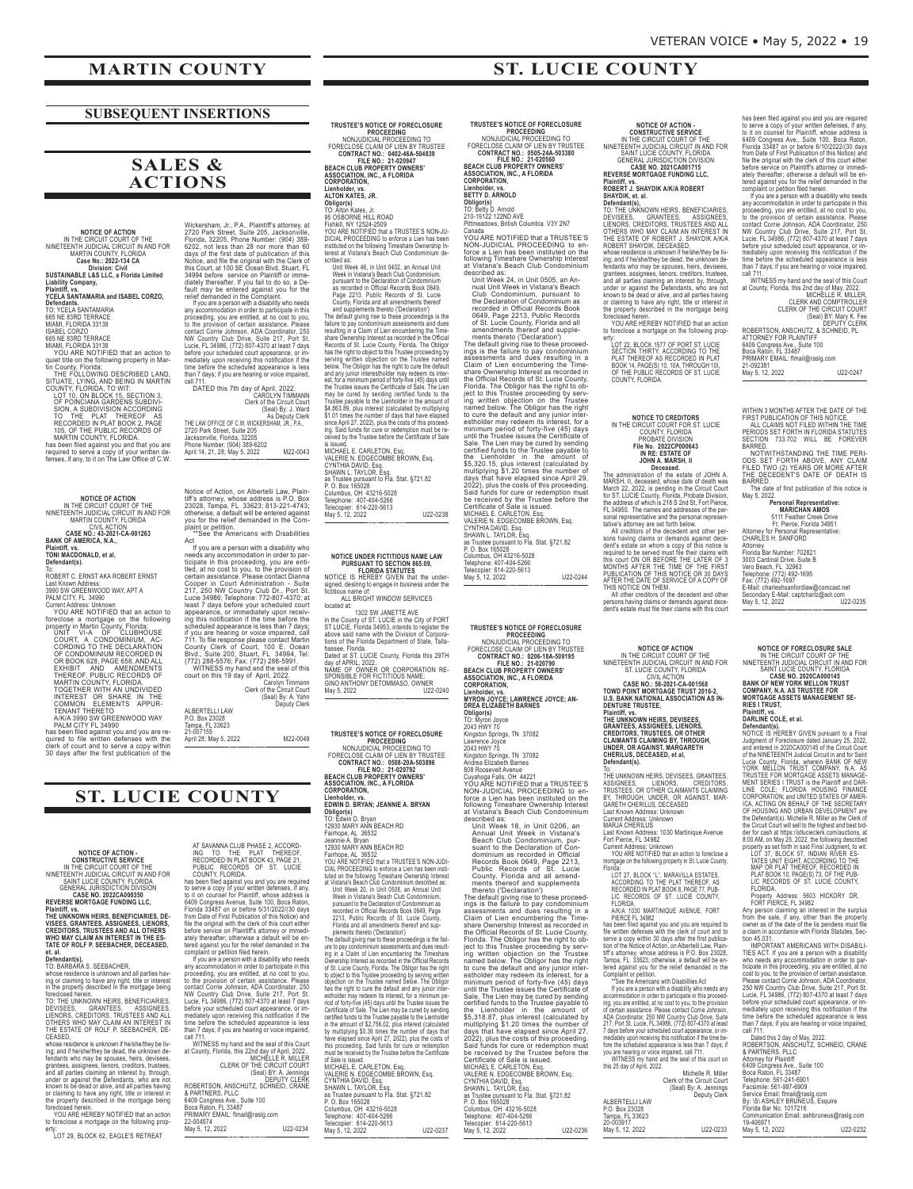### **MARTIN COUNTY**

### **SUBSEQUENT INSERTIONS**

## **SALES & ACTIONS**

NOTICE OF ACTION<br>IN THE CIRCUIT COURT OF THE<br>NINETEENTH JUDICIAL CIRCUIT IN AND FOR<br>MARTIN COUNTY, FLORIDA<br>Case No.: 2022-134 CA<br>SUSTAINABLE L&S LLC, a Florida Limited

**Liability Company, Plaintiff, vs.**

**YCELA SANTAMARIA and ISABEL CORZO,<br>Defendants.**<br>TO: YCELA SANTAMARIA<br>MAMI, FLORIDO 33138<br>MAMI, FLORIDO 33138<br>ISABEL CORZO<br>G65 NE 83RD TERRACE<br>WAMI, FLORIDA 33138<br>WOU ARE NOTIFIED that an action to<br>quiet title on the follo

TO THE PLAT THEREOF AS<br>RECORDED IN PLAT BOOK 2, PAGE<br>105, OF THE PUBLIC RECORDS OF<br>MARTIN COUNTY, FLORIDA.

has been filed against you and that you are required to serve a copy of your written de-fenses, if any, to it on The Law Office of C.W.

NOTICE OF ACTION<br>IN THE CIRCUIT COURT OF THE<br>NINETEENTH JUDICIAL CIRCUIT IN AND FOR<br>CIVIL ACTION<br>CASE NO.: 43-2021-CA-001263<br>BANK OF AMERICA, N.A.,

**Plaintiff, vs. TONI MACDONALD, et al, Defendant(s).**

To: ROBERT C. ERNST AKA ROBERT ERNST

Last Known Address: 3990 SW GREENWOOD WAY, APT A PALM CITY, FL 34990 Current Address: Unknown YOU ARE NOTIFIED that an action to

foreclose a mortgage on the following<br>property in Martin County, Florida:<br>CORURT, A CONDOMINIUM, AC-<br>CORDING TO THE DECLARATION<br>OF CORDOMINIUM RECORDED IN<br>OR BOOK 628, PAGE 658, AND ALL<br>EXHIBIT AND AMENDMENTS<br>FRING THEREOF

clerk of court and to serve a copy within<br>30 days after the first publication of the

NOTICE OF ACTION<br>
CONSTRUCTIVE SERVICE<br>
IN THE CIRCUIT COURT OF THE<br>
INNETENTH JUDICIAL CIRCUIT IN AND FOR<br>
SAINT LUCIE COUNTY, FLORIDA<br>
CENERAL JURISDICTION DIVISION<br>
CASE NORTGAGE FUNDING LLC,<br>
REVERSE MORTGAGE FUNDING L

Plaintiff, vs.<br>THE UNKNOWN HEIRS, BENEFICIARIES, DE-<br>VISEES, GRANTEES, ASSIGNEES, LIENORS,<br>CREDITORS, TRUSTEES AND ALL OTHERS<br>WHO MAY CLAIM AN INTEREST IN THE ES-<br>TATE OF ROLF P. SEEBACHER, DECEASED,

**et. al.<br>Defendant(s),**<br>TO: BARBARA S. SEEBACHER,<br>whose residence is unknown and all parties hav-

ing or claiming to have any right, title or interest<br>in the property described in the mortgage being<br>foreclosed herein.<br>TO: THE UNKNOWN HEIRS, BENEFICIARIES,<br>DEVISEES, GREDITORS, TRUSTEES AND ALL<br>LIENORS, CREDITORS, TRUSTE

whose residence is unknown if helshelthey be living<br>ing; and if he/shelthey be dead, the unknown de-<br>fendants who may be spouses, heirs, devisees,<br>grantees, assigness, lience, creditors, trustees,<br>and all parties claiming

YOU ARE HEREBY NOTIFIED that an action to foreclose a mortgage on the following property: LOT 29, BLOCK 62, EAGLE'S RETREAT

Wickersham, Jr., P.A., Plaintiff's attorney, at<br>2720 Park Street, Suite 205, Jacksonville,<br>Florida, 32205, Phone Number: (904) 389-<br>Florida, 32205, Phone Number: (904) 389-<br>days of the first date of publication of this<br>day

DATED this 7th day of April, 2022. CAROLYN TIMMANN

Clerk of the Circuit Court<br>(Seal) By: J. Ward<br>2720 Park Street, Suite 205<br>2720 Park Street, Suite 205<br>Jacksonville, Florida, 32205<br>Phone Number: (904) 389-6202<br>April 14, 21, 28; May 5, 2022 M22-0043

<<END\_NOTICE>>

Notice of Action, on Albertelli Law, Plain-<br>tiff's attomey, whose address is P.O. Box<br>23028, Tampa, FL 33623; 813-221-4743;<br>otherwise, a default will be entered against<br>plaint or petition.<br>The relition.<br>The relition and th

Act<br>
If you are a person with a disability who<br>
needs any accommodation in order to par-<br>
ticipate in this proceeding, you are enti-<br>
tied, at no cost to you, to the provision of<br>
corder in Court Administration - Suite<br>
21

P.O. Box 23028 Tampa, FL 33623 21-007155

April 28; May 5, 2022 M22-0049 <<END\_NOTICE>>

## **ST. LUCIE COUNTY**

AT SAVANNA CLUB PHASE 2, ACCORD-<br>ING TO THE PLAT THEREOF,<br>RECORDED IN PLAT BOOK 43, PAGE 21,<br>PUBLIC RECORDS OF ST. LUCIE<br>COUNTY, FLORIDA.

has been filed against you and you are required<br>to sever a copy of your written defenses, if any<br>to it on counsel for Plaintiff, whose address is<br>6409 Congress Avenue, Suite 100, Boca Raton,<br>Friedda 33487 on or before 5/31

| May 5, 12, 2022                                   | U22-0234                                      |
|---------------------------------------------------|-----------------------------------------------|
| 22-004574                                         |                                               |
| PRIMARY EMAIL: flmail@raslg.com                   |                                               |
| Boca Raton, FL 33487                              |                                               |
| 6409 Congress Ave., Suite 100                     |                                               |
| & PARTNERS, PLLC                                  |                                               |
| ROBERTSON, ANSCHUTZ, SCHNEID, CRANE               |                                               |
|                                                   |                                               |
|                                                   | (Seal) BY: A. Jennings<br><b>DEPUTY CLERK</b> |
|                                                   |                                               |
| <b>CLERK OF THE CIRCUIT COURT</b>                 |                                               |
|                                                   | MICHÉLLE R. MILLER                            |
| at County, Florida, this 22nd day of April, 2022. |                                               |
| WITNESS my hand and the seal of this Court        |                                               |

**TRUSTEE'S NOTICE OF FORECLOSURE<br>
MONJUDICIAL PROCEEDING TO<br>
FORECLOSE CLAIM OF LIEN BY TRUSTEE<br>
CONTRACT NO.: 0402-46A-504839<br>
FEACH CLUB PROPERTY OWNERS'<br>
FILE NO.: 21-020947<br>
FILE NO.: 21-020947<br>
ASSOCIATION, INC., A FL** 

**ALTON KATES, JR.**

Obligor(s)<br>TO: Alton Kates, Jr.<br>95 OSBORNE HILL ROAD<br>Fishkill, NY 12524-2509<br>YOU ARE NOTIFIED that a TRUSTEE'S NON-JU-<br>DICIAL PROCEEDING to enforce a Lien has been<br>instituted on the following Timeshare Ownership In-<br>scribe

Unit Week 46, in Unit O402, an Annual Unit<br>Week in Vistan's Beach Club Condominium,<br>pursuant to the Declaration of Condominium,<br>Pursuant to the Declaration of Condominium,<br> $Page 2213$ , Public Records Book 0649,<br>County, Flori

VALERIE N. EDGECOMBE BROWN, Esq.<br>CYNTHIA DAVID, Esq.<br>SHAWN L. TAYLOR, Esq.<br>as Trustee pursuant to Fla. Stat. §721.82<br>P. O. Box 165028<br>Columbus, OH 43216-5028<br>Telepopier: 614-220-5613<br>May 5, 12, 2022<br>May 5, 12, 2022

<<END\_NOTICE>>

NOTICE UNDER FICTITIOUS NAME LAW<br>
PURSUANT TO SECTION 865.09,<br>
NOTICE IS FLORIDA STATUTES.<br>
HEREBY GIVEN that the under-<br>
signed, desiring to engage in business under the<br>
ALL BRIGHT WINDOW SERVICES<br>
flocidious name of:<br>
l

<<END\_NOTICE>>

**TRUSTEE'S NOTICE OF FORECLOSURE<br>NONJUDIPROCEEDING TO<br>FORECLOSE CLAIM OF LIEN BY TRUSTEE<br>CONTRACT NO.: 0508-20A-503896<br>CONTRACT NO.: 0508-20A-503896<br>BEACH CLUB PROPERTY OWNERS'<br>ASSOCIATION, INC., A FLORIDA<br>CORPORATION,** 

Lienholder, vs.<br>
EDMIN D. BRYAN; JEANNIE A. BRYAN<br>
Diligor(s)<br>
TO: Edwin D. Bryan<br>
12930 MARY ANN BEACH RD<br>
12930 MARY ANN BEACH RD<br>
Fairhope, AL 36552<br>
Fairhope, AL 36552<br>
Fairhope, AL 36552<br>
Pairnope, AL 36552<br>
Pairnope,

| of Sale is issued.                        |          |
|-------------------------------------------|----------|
| MICHAEL E. CARLETON, Esq.                 |          |
| VALERIE N. EDGECOMBE BROWN. Esg.          |          |
| CYNTHIA DAVID, Esq.                       |          |
| SHAWN L. TAYLOR. Esg.                     |          |
| as Trustee pursuant to Fla. Stat. §721.82 |          |
| P. O. Box 165028                          |          |
| Columbus, OH 43216-5028                   |          |
| Telephone: 407-404-5266                   |          |
| Telecopier: 614-220-5613                  |          |
| May 5, 12, 2022                           | U22-0237 |

<<END\_NOTICE>>

TRUSTEE'S NOTICE OF FORECLOSURE<br>NONJUDICIAL PROCEEDING TO<br>FORECLOSE CLAIM OF LIEN BY TRUSTEE<br>CONTRACT NO. 0505-244-503380<br>CONTRACT NO. 0505-244-503380<br>BEACH CLUB PROPERTY OWNERS'<br>ASSOCIATION, INC., A FLORIDA<br>CORPORATION,

**Lienholder, vs. BETTY D. ARNOLD**

**Obligor(s)**<br>TO: Betty D. Arnold<br>210-19122 122ND AVE<br>Pittmeadows, British Columbia V3Y 2N7<br>Canada

YOU ARE NOTIFIED that a TRUSTEE'S NON-JUDICIAL PROCEEDING to en-force a Lien has been instituted on the following Timeshare Ownership Interest at Vistana's Beach Club Condominium

described as:<br>
Unit Week 24, in Unit 0505, an An-<br>
unit Week in Vistana's Beach<br>
club Condominium, pursuant to<br>
club Condominium, pursuant to<br>
the Declaration of Condominium as<br>
recorded in Official Records Book<br>
of 61. Lu as Trustee pursuant to Fla. Stat. §721.82<br>P. O. Box 165028<br>Columbus, OH 43216-5028<br>Telepohore: 407-404-5266<br>Telecopier: 614-220-5613<br>May 5, 12, 2022<br>May 5, 12, 2022

<<END\_NOTICE>>

**TRUSTEE'S NOTICE OF FORECLOSURE<br>NONJUDIPROCEEDING TO<br>FORECLOSE CLAIM OF LIEN BY TRUSTEE<br>CONTRACT NO.: 0206-18A-509195<br>CONTRACT NO.: 0206-18A-509195<br>BEACH CLUB PROPERTY OWNERS'<br>ASSOCIATION, INC., A FLORIDA<br>CORPORATION, Lienholder, vs. MYRON JOYCE; LAWRENCE JOYCE; AN-DREA ELIZABETH BARNES Obligor(s)** TO: Myron Joyce 2043 HWY 70 Kingston Springs, TN 37082 Lawrence Joyce 2043 HWY 70 Kingston Springs, TN 37082 Andrea Elizabeth Barnes 808 Roosevelt Avenue Cuyahoga Falls, OH 44221 YOU ARE NOTIFIED that a TRUSTEE'S NON-JUDICIAL PROCEEDING to enforce a Lien has been instituted on the following Timeshare Ownership Interest

at Vistana's Beach Club Condominium<br>
Unit Week 18, in Unit 0206, an<br>
Unit Week 18, in Unit 0206, an<br>
Annual Unit Week 18, in Unit 0206, an<br>
Annual Unit Week 18, in Vistana's<br>
Beach Club Condominium, pur-<br>
suant to the Decl

| Certificate of Sale is issued.            |          |
|-------------------------------------------|----------|
| MICHAEL E. CARLETON, Esq.                 |          |
| VALERIE N. EDGECOMBE BROWN, Esq.          |          |
| CYNTHIA DAVID, Esq.                       |          |
| SHAWN L. TAYLOR, Esq.                     |          |
| as Trustee pursuant to Fla. Stat. §721.82 |          |
| P. O. Box 165028                          |          |
| Columbus, OH 43216-5028                   |          |
| Telephone: 407-404-5266                   |          |
| Telecopier: 614-220-5613                  |          |
| May 5, 12, 2022                           | U22-0236 |
|                                           |          |

<<END\_NOTICE>>

VETERAN VOICE • May 5, 2022 • 19

has been filed against you and you are required<br>to seve a copy of your written defenses, if any<br>to it on counsel for Plaintiff, whose address is<br>6409 Congress Ave., Suite 100, Boca Raton,<br>Froida 33487 on or before 6/10/202

WITNESS my hand and the seal of this Courty,<br>at County, Florida, this 2nd day of May, 2022.<br>MICHELLE R. MILLER,<br>CLERK AND COMPTROLLER<br>CLERK OF THE CIRCUIT COURT<br>(Seal) BY: Mary K. Fee<br>ROBERTSON, ANSCHUTZ, & SCHNEID, PL<br>ATT

21-092381<br>May 5, 12, 2022 U22-0247 <<END\_NOTICE>>

WITHIN 3 MONTHS AFTER THE DATE OF THE<br>FIRST PUBLICATION OF THIS NOTICE.<br>- ALL CLAIMS NOT FILED WITHIN THE TIME<br>PERIODS SET FORTH IN FLORIDA STATUTES<br>SECTION 733.702 WILL BE FOREVER<br>BARRED.

NOTWITHSTANDING THE TIME PERI-<br>ODS SET FORTH ABOVE, ANY CLAIM<br>FILED TWO (2) YEARS OR MORE AFTER<br>THE DECEDENT'S DATE OF DEATH IS<br>BARRED.

The date of first publication of this notice is May 5, 2022. **Personal Representative: MARICHAN AMOS**

Attorney<br>Florida Bar Number: 702821<br>3003 Cardinal Drive, Suite B<br>Vero Beach, FL 32963<br>Fax: (772) 492-1697<br>Fax: (772) 492-1697<br>E-Mail: charleshsanfordlaw@comcast.net<br>Secondary E-Mail: captchariz@aol.com<br>May 5, 12, 2022

<<END\_NOTICE>>

NOTICE OF FORECLOSURE SALE

NOTICE OF FORECLOSURE SALE<br>IN THE CIRCUIT COURT OF THE<br>NINETEENTH JUDICIAL CIRCUIT IN AND FOR<br>SAINT LUCIE COUNTY, FLORIDA<br>SAINT LUCIE COUNTY, FLORIDA<br>BANK OF NEW YORK MELLON TRUST<br>COMPANY, N.A. AS TRUSTEE FOR<br>NIES I TRUST,

**DARLINE COLE, et al.**<br> **Defendant(s).**<br> **Defendant(s)**. **(C**)<br>
Judgment of Foreclosure dated January 25, 2022,<br>
Judgment of Foreclosure dated January 25, 2022<br>
and entered in 2020CA000145 of the Circuit Court<br>
of the N

Property Address: 5603 HICKORY DR,<br>Any person claiming an interest in the surplus<br>Any person claiming an interest in the surplus<br>from the sale, if any, other than the property<br>owner as of the date of the lis pendens must f

TIES ACT. If you are a person with a disability<br>who needs any accommodation in order to part-<br>ticipate in this proceeding, you are entitled, at no<br>cost to you, to the provision of certain assistance.<br>Please contact Corrie

call 711. Dated this 2 day of May, 2022. ROBERTSON, ANSCHUTZ, SCHNEID, CRANE & PARTNERS, PLLC Attorney for Plaintiff 6409 Congress Ave., Suite 100 Boca Raton, FL 33487 Telephone: 561-241-6901 Facsimile: 561-997-6909

.................<br>cation Email: ashbruneus@raslg.com 19-406971 May 5, 12, 2022 U22-0232 <<END\_NOTICE>>

Service Email: flmail@raslg.com By: \S\ ASHLEY BRUNEUS, Esquire Florida Bar No. 1017216

**Plaintiff, vs.**

5111 Feather Creek Drive Ft. Pierce, Florida 34951 Attorney for Personal Representative: CHARLES H. SANFORD

NOTICE OF ACTION<br>
CONSTRUCTIVE SERVICE<br>
IN THE CIRCUIT COURT OF THE<br>
INNETENTH JUDICIAL CIRCUIT IN AND FOR<br>
SAINT LUCIE COUNTY, FLORIDA<br>
CENERAL JURISDICTION DIVISION<br>
CASE NORTGAGE FUNDING LLC,<br>
REVERSE MORTGAGE FUNDING L **Plaintiff, vs. ROBERT J. SHAYDIK A/K/A ROBERT**

**ST. LUCIE COUNTY**

**SHAYDIK, et. al.**<br>Defendant(s), C. H. al. CO. THE UNKNOWN HEIRS, BENEFICIARIES, TO CHANTEES, THE UNKNOWN HEIRS, THUSTEES AND ALL<br>LIENORS, CREDITORS, TRUSTEES AND ALL<br>CITHERS WHO MAY CLAIM AN INTEREST IN<br>THE ESTATE OF ROBE the property described in the mortgage being foreclosed herein. YOU ARE HEREBY NOTIFIED that an action

to foreclose a mortgage on the following property: LOT 22, BLOCK 1577 OF PORT ST. LUCIE

SECTION THIRTY, ACCORDING TO THE PLAT THEREOF AS RECORDED IN PLAT BOOK 14, PAGE(S) 10, 10A, THROUGH 10I, OF THE PUBLIC RECORDS OF ST. LUCIE COUNTY, FLORIDA.

**NOTICE TO CREDITORS**<br>
IN THE CIRCUIT COURT FOR ST. LUCIE<br>
COUNTY, FLORIDA<br>
PROBATE DIVISION<br>
FIGURE PROBATE DIVISION<br>
FIGURE PROBATE DIVISION<br>
IN RE: ESTATE OF<br>
IDNIA A. MARSH, II<br>
The administration of the estate of JOHN

**NOTICE OF ACTION<br>IN THE CIRCUIT COURT OF THE<br>ST. ULTUDICIAL CIRCUIT IN AND FOR<br>ST. LUCIE COUNTY, FLORIDA<br>CIVIL ACTION<br>COME TO SANGE NO. 156-2021-CA-001568<br>TOWD POINT MORTGAGE TRUST 2016-2,<br>JUS. BANK NATIONAL ASSOCIATION A** 

To:<br>The UNKNOWN HEIRS, DEVISEES, GRANTEES,<br>ASSIGNEES, CREDITORS,<br>TRUSTEES, OR OTHER CLAMMATS CLAMMING<br>BY, THROUGH, UNDER, OR AGAINST, MAR-<br>Last Known Address: Unknown<br>Last Known Address: Unknown<br>Last Known Address: Unknown

file written defenses with the clerk of court and to<br>serve a copy within 30 days after the first publica-<br>tion of the Notice of Action, on Albertelli Law, Plain-<br>tiff's attorney, whose address is P.O. Box 23023<br>Tampa, FL 3

If you are a person with a disability who needs any<br>accommodation in order to participate in this proceed-<br>ing, you are entitled, at no cost to you, to the provision<br>of certain assistance. Please contact Corrie Johnson,<br>AD

7 days before your scheduled court appearance, or im-<br>mediately upon receiving this notification if the time be-<br>fore the scheduled appearance is less than 7 days; if<br>you are hearing or voice impaired, call 711.<br>WITNESS my

ALBERTELLI LAW P.O. Box 23028 Tampa, FL 33623 20-003917 May 5, 12, 2022 U22-0233

<<END\_NOTICE>>

Michelle R. Miller Clerk of the Circuit Court (Seal) By: A. Jennings Deputy Clerk